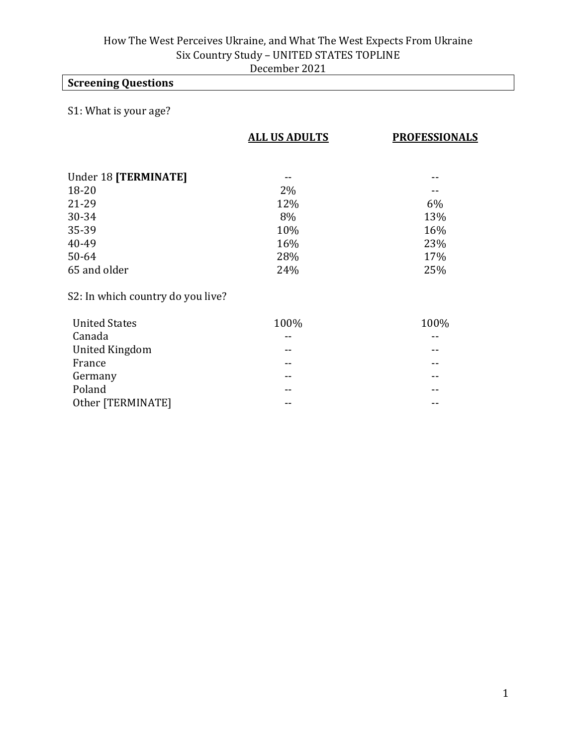# **Screening Questions**

# S1: What is your age?

|                                   | <b>ALL US ADULTS</b> | <b>PROFESSIONALS</b> |
|-----------------------------------|----------------------|----------------------|
|                                   |                      |                      |
| Under 18 [TERMINATE]              |                      |                      |
| 18-20                             | $2\%$                |                      |
| 21-29                             | 12%                  | 6%                   |
| 30-34                             | 8%                   | 13%                  |
| 35-39                             | 10%                  | 16%                  |
| 40-49                             | 16%                  | 23%                  |
| 50-64                             | 28%                  | 17%                  |
| 65 and older                      | 24%                  | 25%                  |
| S2: In which country do you live? |                      |                      |
| <b>United States</b>              | 100%                 | 100%                 |
| Canada                            | --                   |                      |
| <b>United Kingdom</b>             | --                   |                      |
| France                            | --                   |                      |
| Germany                           |                      |                      |
| Poland                            | --                   |                      |

Other [TERMINATE] -- --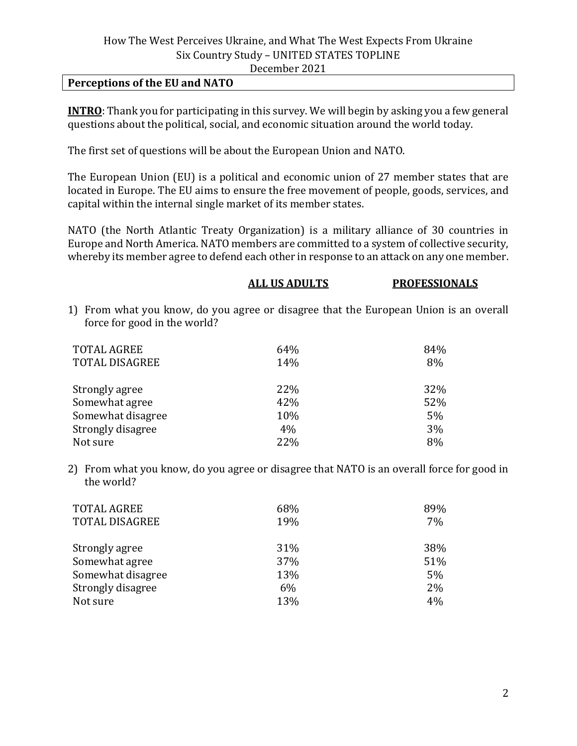#### **Perceptions of the EU and NATO**

**INTRO**: Thank you for participating in this survey. We will begin by asking you a few general questions about the political, social, and economic situation around the world today.

The first set of questions will be about the European Union and NATO.

The European Union (EU) is a political and economic union of 27 member states that are located in Europe. The EU aims to ensure the free movement of people, goods, services, and capital within the internal single market of its member states.

NATO (the North Atlantic Treaty Organization) is a military alliance of 30 countries in Europe and North America. NATO members are committed to a system of collective security, whereby its member agree to defend each other in response to an attack on any one member.

|                                                                                                                       | <b>ALL US ADULTS</b> | <b>PROFESSIONALS</b> |
|-----------------------------------------------------------------------------------------------------------------------|----------------------|----------------------|
| 1) From what you know, do you agree or disagree that the European Union is an overall<br>force for good in the world? |                      |                      |
| <b>TOTAL AGREE</b>                                                                                                    | 64%                  | 84%                  |
| <b>TOTAL DISAGREE</b>                                                                                                 | 14%                  | 8%                   |
| Strongly agree                                                                                                        | 22%                  | 32%                  |
| Somewhat agree                                                                                                        | 42%                  | 52%                  |
| Somewhat disagree                                                                                                     | 10%                  | $5\%$                |
| Strongly disagree                                                                                                     | 4%                   | 3%                   |
| Not sure                                                                                                              | 22%                  | 8%                   |

2) From what you know, do you agree or disagree that NATO is an overall force for good in the world?

| <b>TOTAL AGREE</b><br><b>TOTAL DISAGREE</b> | 68%<br>19% | 89%<br>7% |
|---------------------------------------------|------------|-----------|
| Strongly agree                              | 31%        | 38%       |
| Somewhat agree                              | 37%        | 51%       |
| Somewhat disagree                           | 13%        | 5%        |
| Strongly disagree                           | 6%         | 2%        |
| Not sure                                    | 13%        | 4%        |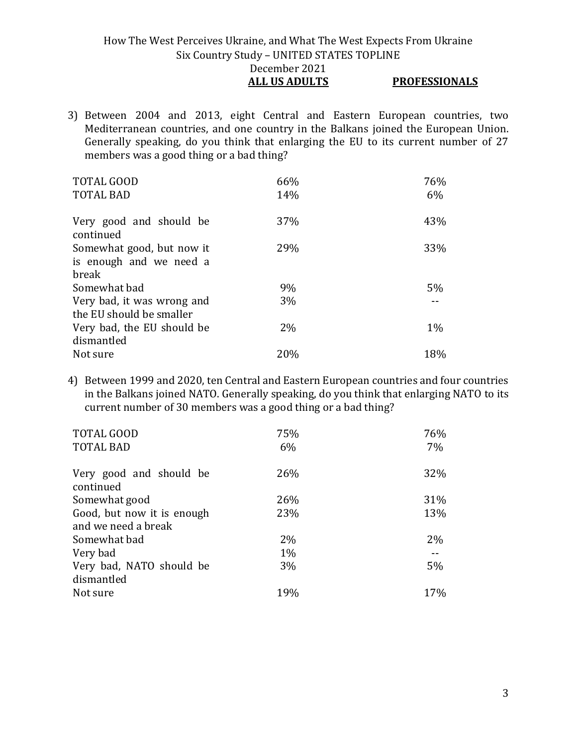## How The West Perceives Ukraine, and What The West Expects From Ukraine Six Country Study – UNITED STATES TOPLINE December 2021 **ALL US ADULTS PROFESSIONALS**

3) Between 2004 and 2013, eight Central and Eastern European countries, two Mediterranean countries, and one country in the Balkans joined the European Union. Generally speaking, do you think that enlarging the EU to its current number of 27 members was a good thing or a bad thing?

| <b>TOTAL GOOD</b>                    | 66%   | 76%   |
|--------------------------------------|-------|-------|
| <b>TOTAL BAD</b>                     | 14%   | 6%    |
| Very good and should be<br>continued | 37%   | 43%   |
| Somewhat good, but now it            | 29%   | 33%   |
| is enough and we need a              |       |       |
| break                                |       |       |
| Somewhat bad                         | 9%    | 5%    |
| Very bad, it was wrong and           | 3%    |       |
| the EU should be smaller             |       |       |
| Very bad, the EU should be           | $2\%$ | $1\%$ |
| dismantled                           |       |       |
| Not sure                             | 20%   | 18%   |

4) Between 1999 and 2020, ten Central and Eastern European countries and four countries in the Balkans joined NATO. Generally speaking, do you think that enlarging NATO to its current number of 30 members was a good thing or a bad thing?

| TOTAL GOOD                             | 75%   | 76% |
|----------------------------------------|-------|-----|
| <b>TOTAL BAD</b>                       | 6%    | 7%  |
| Very good and should be<br>continued   | 26%   | 32% |
| Somewhat good                          | 26%   | 31% |
| Good, but now it is enough             | 23%   | 13% |
| and we need a break                    |       |     |
| Somewhat bad                           | $2\%$ | 2%  |
| Very bad                               | $1\%$ |     |
| Very bad, NATO should be<br>dismantled | 3%    | 5%  |
| Not sure                               | 19%   | 17% |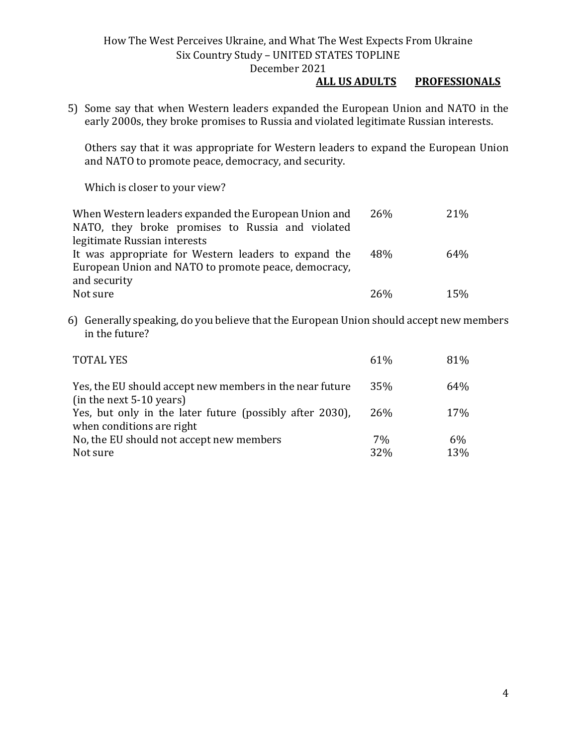## **ALL US ADULTS PROFESSIONALS**

5) Some say that when Western leaders expanded the European Union and NATO in the early 2000s, they broke promises to Russia and violated legitimate Russian interests.

Others say that it was appropriate for Western leaders to expand the European Union and NATO to promote peace, democracy, and security.

Which is closer to your view?

| When Western leaders expanded the European Union and | <b>26%</b>      | 21\% |
|------------------------------------------------------|-----------------|------|
| NATO, they broke promises to Russia and violated     |                 |      |
| legitimate Russian interests                         |                 |      |
| It was appropriate for Western leaders to expand the | 48%             | 64%  |
| European Union and NATO to promote peace, democracy, |                 |      |
| and security                                         |                 |      |
| Not sure                                             | 26 <sub>%</sub> | 15%  |

6) Generally speaking, do you believe that the European Union should accept new members in the future?

| <b>TOTAL YES</b>                                                                       | $61\%$                | 81%       |
|----------------------------------------------------------------------------------------|-----------------------|-----------|
| Yes, the EU should accept new members in the near future<br>$(in the next 5-10 years)$ | 35%                   | 64%       |
| Yes, but only in the later future (possibly after 2030),<br>when conditions are right  | 26%                   | 17%       |
| No, the EU should not accept new members<br>Not sure                                   | 7%<br>32 <sub>%</sub> | 6%<br>13% |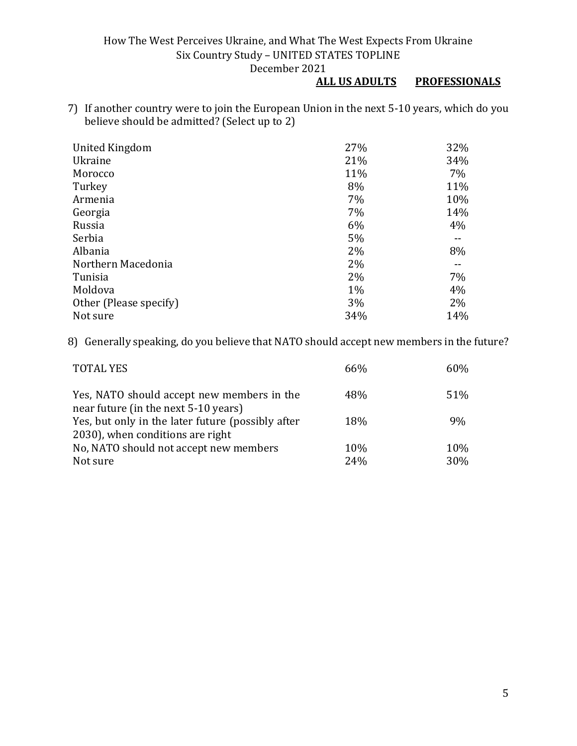### **ALL US ADULTS PROFESSIONALS**

7) If another country were to join the European Union in the next 5-10 years, which do you believe should be admitted? (Select up to 2)

| United Kingdom         | 27%   | 32% |
|------------------------|-------|-----|
| Ukraine                | 21%   | 34% |
| Morocco                | 11%   | 7%  |
| Turkey                 | 8%    | 11% |
| Armenia                | 7%    | 10% |
| Georgia                | 7%    | 14% |
| Russia                 | 6%    | 4%  |
| Serbia                 | 5%    |     |
| Albania                | 2%    | 8%  |
| Northern Macedonia     | 2%    |     |
| Tunisia                | 2%    | 7%  |
| Moldova                | $1\%$ | 4%  |
| Other (Please specify) | 3%    | 2%  |
| Not sure               | 34%   | 14% |

8) Generally speaking, do you believe that NATO should accept new members in the future?

| <b>TOTAL YES</b>                                                                   | 66% | 60% |
|------------------------------------------------------------------------------------|-----|-----|
| Yes, NATO should accept new members in the<br>near future (in the next 5-10 years) | 48% | 51% |
| Yes, but only in the later future (possibly after                                  | 18% | 9%  |
| 2030), when conditions are right                                                   |     |     |
| No, NATO should not accept new members                                             | 10% | 10% |
| Not sure                                                                           | 24% | 30% |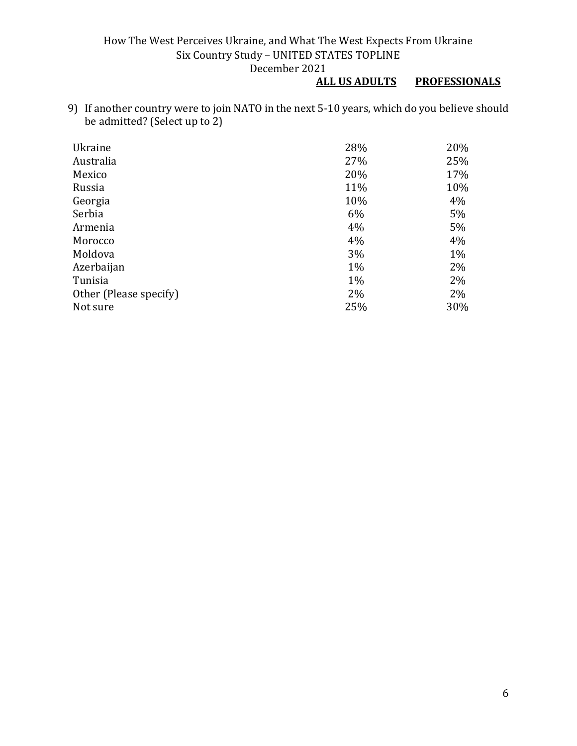# **PROFESSIONALS**

9) If another country were to join NATO in the next 5-10 years, which do you believe should be admitted? (Select up to 2)

| Ukraine                | 28%   | 20%   |
|------------------------|-------|-------|
| Australia              | 27%   | 25%   |
| Mexico                 | 20%   | 17%   |
| Russia                 | 11%   | 10%   |
| Georgia                | 10%   | 4%    |
| Serbia                 | 6%    | 5%    |
| Armenia                | 4%    | 5%    |
| Morocco                | 4%    | 4%    |
| Moldova                | 3%    | $1\%$ |
| Azerbaijan             | $1\%$ | 2%    |
| Tunisia                | $1\%$ | 2%    |
| Other (Please specify) | 2%    | 2%    |
| Not sure               | 25%   | 30%   |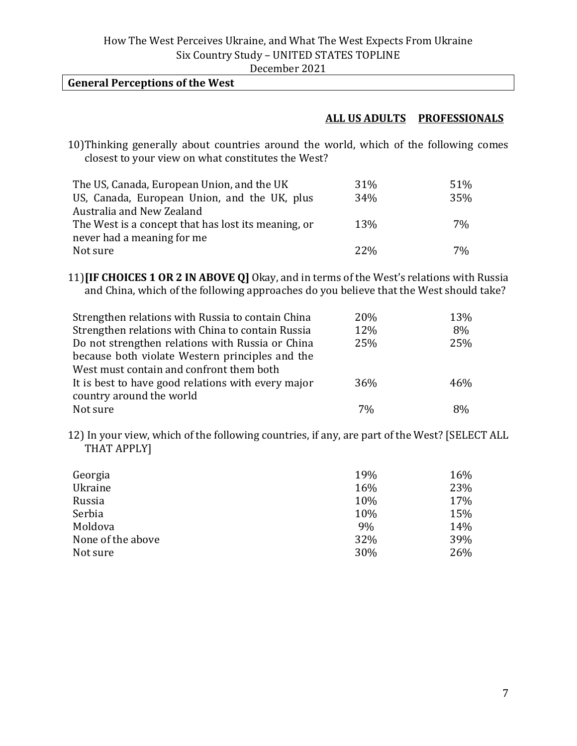# **General Perceptions of the West**

#### **ALL US ADULTS PROFESSIONALS**

10)Thinking generally about countries around the world, which of the following comes closest to your view on what constitutes the West?

| The US, Canada, European Union, and the UK          | 31%    | 51% |
|-----------------------------------------------------|--------|-----|
| US, Canada, European Union, and the UK, plus        | 34%    | 35% |
| Australia and New Zealand                           |        |     |
| The West is a concept that has lost its meaning, or | 13%    | 7%  |
| never had a meaning for me                          |        |     |
| Not sure                                            | $22\%$ | 7%  |

11)**[IF CHOICES 1 OR 2 IN ABOVE Q]** Okay, and in terms of the West's relations with Russia and China, which of the following approaches do you believe that the West should take?

| Strengthen relations with Russia to contain China  | 20% | 13% |
|----------------------------------------------------|-----|-----|
| Strengthen relations with China to contain Russia  | 12% | 8%  |
| Do not strengthen relations with Russia or China   | 25% | 25% |
| because both violate Western principles and the    |     |     |
| West must contain and confront them both           |     |     |
| It is best to have good relations with every major | 36% | 46% |
| country around the world                           |     |     |
| Not sure                                           | 7%  | 8%  |

12) In your view, which of the following countries, if any, are part of the West? [SELECT ALL THAT APPLY]

| Georgia           | 19% | 16% |
|-------------------|-----|-----|
| Ukraine           | 16% | 23% |
| Russia            | 10% | 17% |
| Serbia            | 10% | 15% |
| Moldova           | 9%  | 14% |
| None of the above | 32% | 39% |
| Not sure          | 30% | 26% |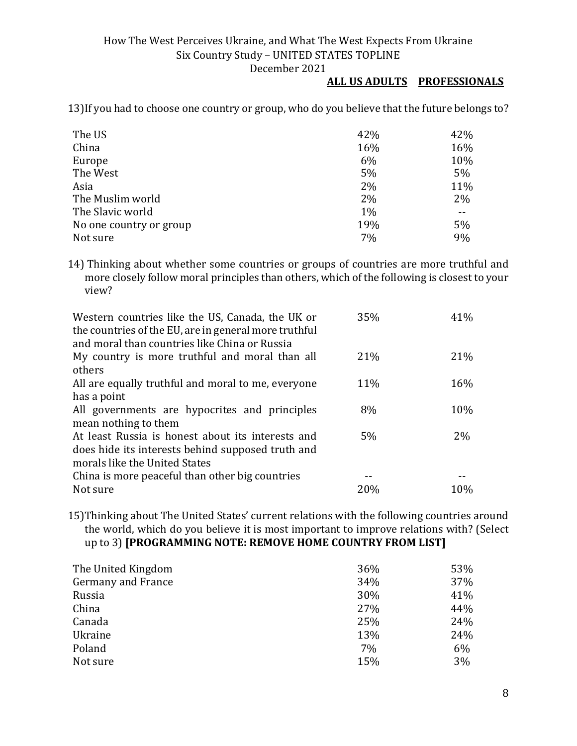#### **ALL US ADULTS PROFESSIONALS**

13)If you had to choose one country or group, who do you believe that the future belongs to?

| The US                  | 42% | 42% |
|-------------------------|-----|-----|
| China                   | 16% | 16% |
| Europe                  | 6%  | 10% |
| The West                | 5%  | 5%  |
| Asia                    | 2%  | 11% |
| The Muslim world        | 2%  | 2%  |
| The Slavic world        | 1%  |     |
| No one country or group | 19% | 5%  |
| Not sure                | 7%  | 9%  |

14) Thinking about whether some countries or groups of countries are more truthful and more closely follow moral principles than others, which of the following is closest to your view?

| 35% | 41% |
|-----|-----|
| 21% | 21% |
|     |     |
| 11% | 16% |
|     |     |
| 8%  | 10% |
|     |     |
| 5%  | 2%  |
|     |     |
|     |     |
|     |     |
| 20% | 10% |
|     |     |

15)Thinking about The United States' current relations with the following countries around the world, which do you believe it is most important to improve relations with? (Select up to 3) **[PROGRAMMING NOTE: REMOVE HOME COUNTRY FROM LIST]**

| The United Kingdom        | 36% | 53% |
|---------------------------|-----|-----|
| <b>Germany and France</b> | 34% | 37% |
| Russia                    | 30% | 41% |
| China                     | 27% | 44% |
| Canada                    | 25% | 24% |
| Ukraine                   | 13% | 24% |
| Poland                    | 7%  | 6%  |
| Not sure                  | 15% | 3%  |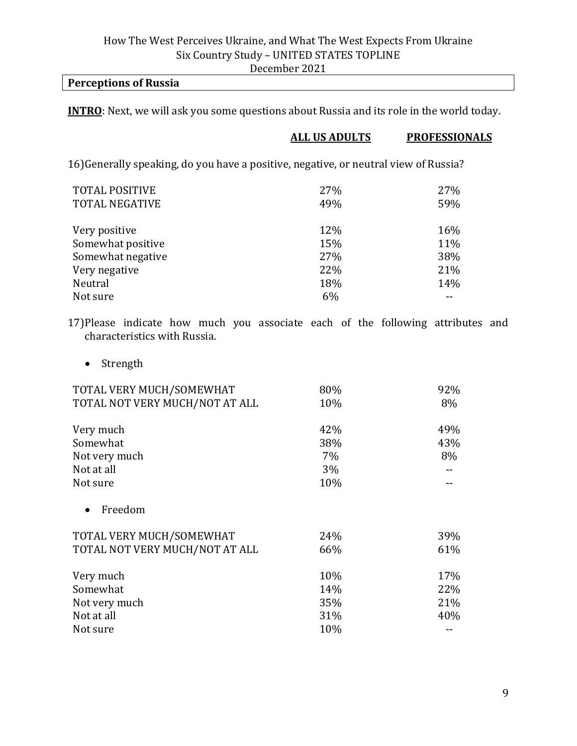#### **Perceptions of Russia**

**INTRO**: Next, we will ask you some questions about Russia and its role in the world today.

#### **ALL US ADULTS PROFESSIONALS**

16)Generally speaking, do you have a positive, negative, or neutral view of Russia?

| <b>TOTAL POSITIVE</b><br><b>TOTAL NEGATIVE</b> | 27%<br>49% | 27%<br>59% |
|------------------------------------------------|------------|------------|
| Very positive                                  | 12%        | 16%        |
| Somewhat positive                              | 15%        | 11%        |
| Somewhat negative                              | 27%        | 38%        |
| Very negative                                  | 22%        | 21%        |
| Neutral                                        | 18%        | 14%        |
| Not sure                                       | 6%         |            |

17)Please indicate how much you associate each of the following attributes and characteristics with Russia.

• Strength

| TOTAL VERY MUCH/SOMEWHAT       | 80% | 92% |
|--------------------------------|-----|-----|
| TOTAL NOT VERY MUCH/NOT AT ALL | 10% | 8%  |
| Very much                      | 42% | 49% |
| Somewhat                       | 38% | 43% |
| Not very much                  | 7%  | 8%  |
| Not at all                     | 3%  |     |
| Not sure                       | 10% |     |
| Freedom                        |     |     |
| TOTAL VERY MUCH/SOMEWHAT       | 24% | 39% |
| TOTAL NOT VERY MUCH/NOT AT ALL | 66% | 61% |
| Very much                      | 10% | 17% |
| Somewhat                       | 14% | 22% |
| Not very much                  | 35% | 21% |
| Not at all                     | 31% | 40% |
| Not sure                       | 10% |     |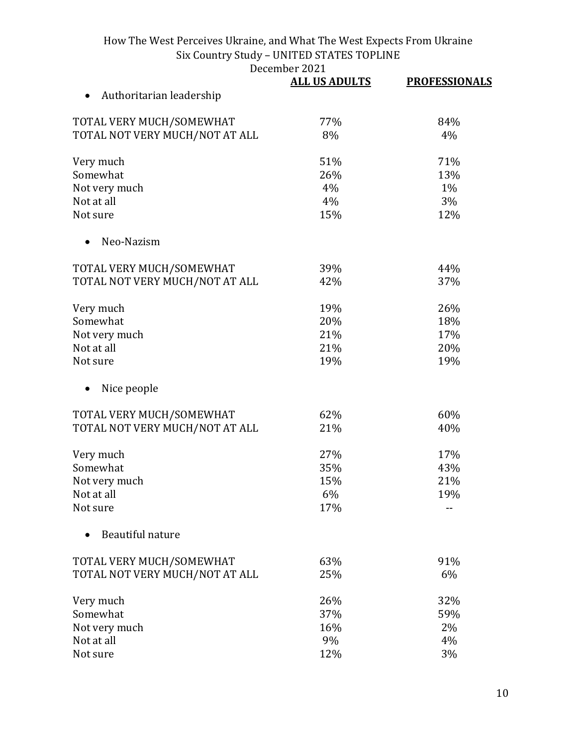December 2021<br>ALL IIS ADIILTS

|                                | <b>ALL US ADULTS</b> | <b>PROFESSIONALS</b> |
|--------------------------------|----------------------|----------------------|
| Authoritarian leadership       |                      |                      |
| TOTAL VERY MUCH/SOMEWHAT       | 77%                  | 84%                  |
| TOTAL NOT VERY MUCH/NOT AT ALL | 8%                   | 4%                   |
| Very much                      | 51%                  | 71%                  |
| Somewhat                       | 26%                  | 13%                  |
| Not very much                  | 4%                   | 1%                   |
| Not at all                     | 4%                   | 3%                   |
| Not sure                       | 15%                  | 12%                  |
| Neo-Nazism                     |                      |                      |
| TOTAL VERY MUCH/SOMEWHAT       | 39%                  | 44%                  |
| TOTAL NOT VERY MUCH/NOT AT ALL | 42%                  | 37%                  |
| Very much                      | 19%                  | 26%                  |
| Somewhat                       | 20%                  | 18%                  |
| Not very much                  | 21%                  | 17%                  |
| Not at all                     | 21%                  | 20%                  |
| Not sure                       | 19%                  | 19%                  |
| Nice people                    |                      |                      |
| TOTAL VERY MUCH/SOMEWHAT       | 62%                  | 60%                  |
| TOTAL NOT VERY MUCH/NOT AT ALL | 21%                  | 40%                  |
| Very much                      | 27%                  | 17%                  |
| Somewhat                       | 35%                  | 43%                  |
| Not very much                  | 15%                  | 21%                  |
| Not at all                     | 6%                   | 19%                  |
| Not sure                       | 17%                  |                      |
| Beautiful nature               |                      |                      |
| TOTAL VERY MUCH/SOMEWHAT       | 63%                  | 91%                  |
| TOTAL NOT VERY MUCH/NOT AT ALL | 25%                  | 6%                   |
| Very much                      | 26%                  | 32%                  |
| Somewhat                       | 37%                  | 59%                  |
| Not very much                  | 16%                  | 2%                   |
| Not at all                     | 9%                   | 4%                   |
| Not sure                       | 12%                  | 3%                   |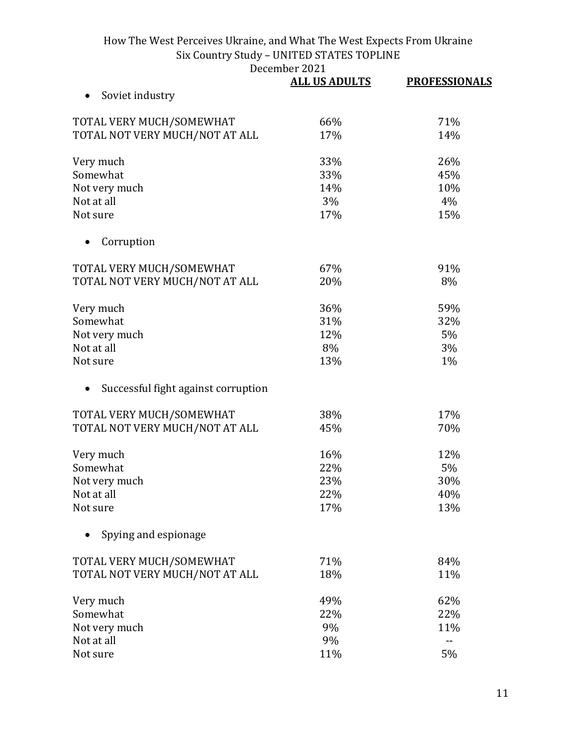December 2021

|                                     | <b>ALL US ADULTS</b> | <b>PROFESSIONALS</b> |
|-------------------------------------|----------------------|----------------------|
| Soviet industry                     |                      |                      |
| TOTAL VERY MUCH/SOMEWHAT            | 66%                  | 71%                  |
| TOTAL NOT VERY MUCH/NOT AT ALL      | 17%                  | 14%                  |
| Very much                           | 33%                  | 26%                  |
| Somewhat                            | 33%                  | 45%                  |
| Not very much                       | 14%                  | 10%                  |
| Not at all                          | 3%                   | 4%                   |
| Not sure                            | 17%                  | 15%                  |
| Corruption                          |                      |                      |
| TOTAL VERY MUCH/SOMEWHAT            | 67%                  | 91%                  |
| TOTAL NOT VERY MUCH/NOT AT ALL      | 20%                  | 8%                   |
| Very much                           | 36%                  | 59%                  |
| Somewhat                            | 31%                  | 32%                  |
| Not very much                       | 12%                  | 5%                   |
| Not at all                          | 8%                   | 3%                   |
| Not sure                            | 13%                  | $1\%$                |
| Successful fight against corruption |                      |                      |
| TOTAL VERY MUCH/SOMEWHAT            | 38%                  | 17%                  |
| TOTAL NOT VERY MUCH/NOT AT ALL      | 45%                  | 70%                  |
| Very much                           | 16%                  | 12%                  |
| Somewhat                            | 22%                  | 5%                   |
| Not very much                       | 23%                  | 30%                  |
| Not at all                          | 22%                  | 40%                  |
| Not sure                            | 17%                  | 13%                  |
| Spying and espionage                |                      |                      |
| TOTAL VERY MUCH/SOMEWHAT            | 71%                  | 84%                  |
| TOTAL NOT VERY MUCH/NOT AT ALL      | 18%                  | 11%                  |
| Very much                           | 49%                  | 62%                  |
| Somewhat                            | 22%                  | 22%                  |
| Not very much                       | 9%                   | 11%                  |
| Not at all                          | 9%                   | --                   |
| Not sure                            | 11%                  | 5%                   |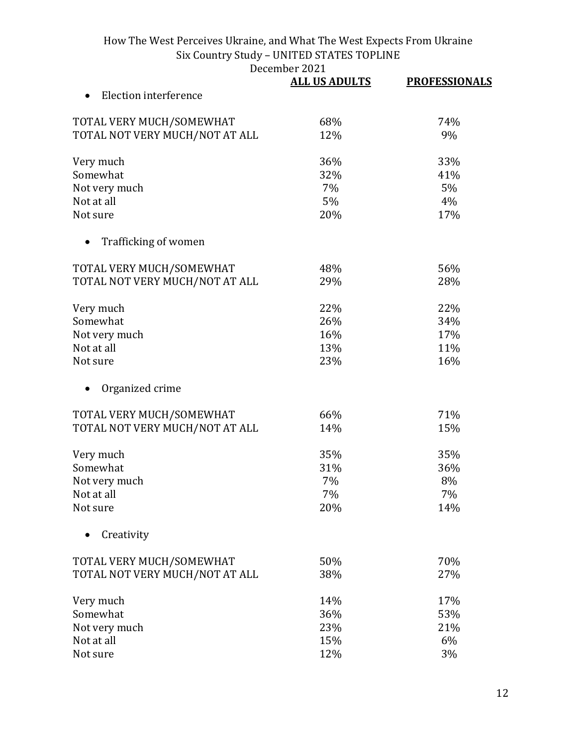December 2021<br>ALL US ADULTS

|                                    | DECEMBEL 2021        |                      |
|------------------------------------|----------------------|----------------------|
|                                    | <b>ALL US ADULTS</b> | <b>PROFESSIONALS</b> |
| Election interference<br>$\bullet$ |                      |                      |
| TOTAL VERY MUCH/SOMEWHAT           | 68%                  | 74%                  |
| TOTAL NOT VERY MUCH/NOT AT ALL     | 12%                  | 9%                   |
|                                    |                      |                      |
| Very much                          | 36%                  | 33%                  |
| Somewhat                           | 32%                  | 41%                  |
| Not very much                      | 7%                   | 5%                   |
| Not at all                         | 5%                   | 4%                   |
| Not sure                           | 20%                  | 17%                  |
| Trafficking of women               |                      |                      |
| TOTAL VERY MUCH/SOMEWHAT           | 48%                  | 56%                  |
| TOTAL NOT VERY MUCH/NOT AT ALL     | 29%                  | 28%                  |
|                                    |                      |                      |
| Very much                          | 22%                  | 22%                  |
| Somewhat                           | 26%                  | 34%                  |
| Not very much                      | 16%                  | 17%                  |
| Not at all                         | 13%                  | 11%                  |
| Not sure                           | 23%                  | 16%                  |
| Organized crime                    |                      |                      |
| TOTAL VERY MUCH/SOMEWHAT           | 66%                  | 71%                  |
| TOTAL NOT VERY MUCH/NOT AT ALL     | 14%                  | 15%                  |
| Very much                          | 35%                  | 35%                  |
| Somewhat                           | 31%                  | 36%                  |
| Not very much                      | 7%                   | 8%                   |
| Not at all                         | 7%                   | 7%                   |
| Not sure                           | 20%                  | 14%                  |
| Creativity                         |                      |                      |
| TOTAL VERY MUCH/SOMEWHAT           | 50%                  | 70%                  |
| TOTAL NOT VERY MUCH/NOT AT ALL     | 38%                  | 27%                  |
|                                    |                      |                      |
| Very much                          | 14%                  | 17%                  |
| Somewhat                           | 36%                  | 53%                  |
| Not very much                      | 23%                  | 21%                  |
| Not at all                         | 15%                  | 6%                   |
| Not sure                           | 12%                  | 3%                   |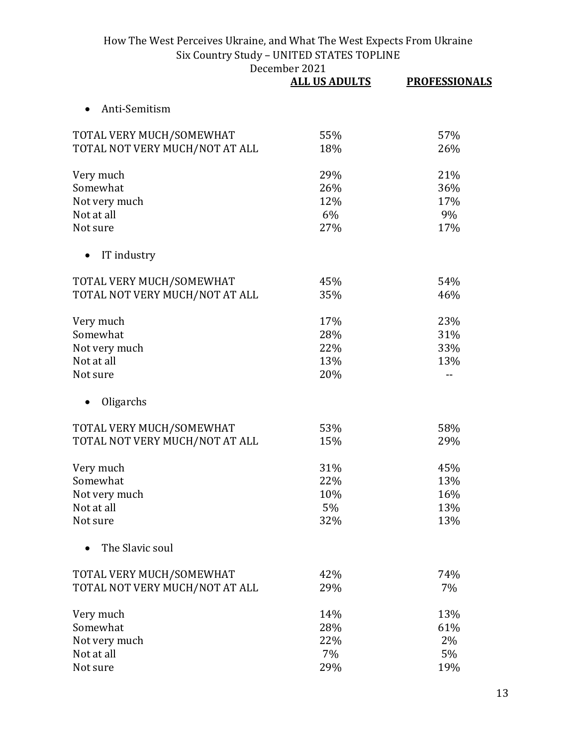|                                | <b>ALL US ADULTS</b> | <b>PROFESSIONALS</b> |
|--------------------------------|----------------------|----------------------|
| Anti-Semitism                  |                      |                      |
| TOTAL VERY MUCH/SOMEWHAT       | 55%                  | 57%                  |
| TOTAL NOT VERY MUCH/NOT AT ALL | 18%                  | 26%                  |
| Very much                      | 29%                  | 21%                  |
| Somewhat                       | 26%                  | 36%                  |
| Not very much                  | 12%                  | 17%                  |
| Not at all                     | 6%                   | 9%                   |
| Not sure                       | 27%                  | 17%                  |
| IT industry                    |                      |                      |
| TOTAL VERY MUCH/SOMEWHAT       | 45%                  | 54%                  |
| TOTAL NOT VERY MUCH/NOT AT ALL | 35%                  | 46%                  |
| Very much                      | 17%                  | 23%                  |
| Somewhat                       | 28%                  | 31%                  |
| Not very much                  | 22%                  | 33%                  |
| Not at all                     | 13%                  | 13%                  |
| Not sure                       | 20%                  |                      |
| Oligarchs                      |                      |                      |
| TOTAL VERY MUCH/SOMEWHAT       | 53%                  | 58%                  |
| TOTAL NOT VERY MUCH/NOT AT ALL | 15%                  | 29%                  |
| Very much                      | 31%                  | 45%                  |
| Somewhat                       | 22%                  | 13%                  |
| Not very much                  | 10%                  | 16%                  |
| Not at all                     | 5%                   | 13%                  |
| Not sure                       | 32%                  | 13%                  |
| The Slavic soul                |                      |                      |
| TOTAL VERY MUCH/SOMEWHAT       | 42%                  | 74%                  |
| TOTAL NOT VERY MUCH/NOT AT ALL | 29%                  | 7%                   |
| Very much                      | 14%                  | 13%                  |
| Somewhat                       | 28%                  | 61%                  |
| Not very much                  | 22%                  | 2%                   |
| Not at all                     | 7%                   | 5%                   |
| Not sure                       | 29%                  | 19%                  |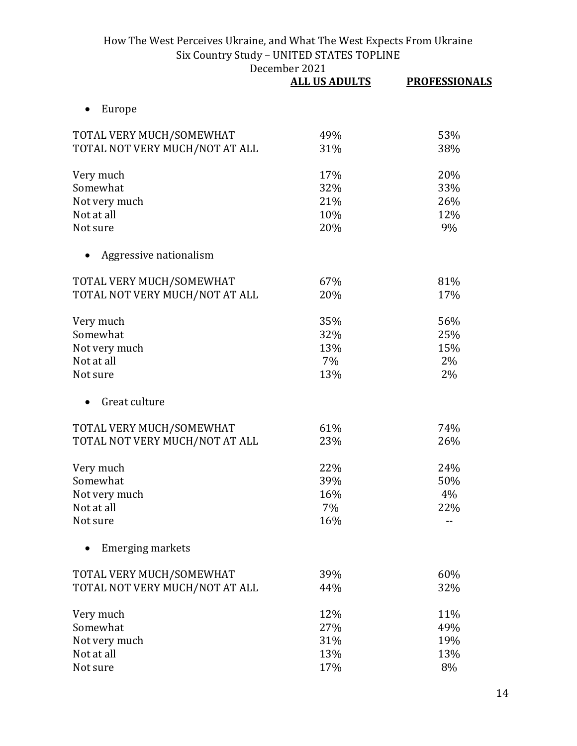|                                | <b>ALL US ADULTS</b> | <b>PROFESSIONALS</b> |
|--------------------------------|----------------------|----------------------|
| Europe                         |                      |                      |
| TOTAL VERY MUCH/SOMEWHAT       | 49%                  | 53%                  |
| TOTAL NOT VERY MUCH/NOT AT ALL | 31%                  | 38%                  |
| Very much                      | 17%                  | 20%                  |
| Somewhat                       | 32%                  | 33%                  |
| Not very much                  | 21%                  | 26%                  |
| Not at all                     | 10%                  | 12%                  |
| Not sure                       | 20%                  | 9%                   |
| Aggressive nationalism         |                      |                      |
| TOTAL VERY MUCH/SOMEWHAT       | 67%                  | 81%                  |
| TOTAL NOT VERY MUCH/NOT AT ALL | 20%                  | 17%                  |
| Very much                      | 35%                  | 56%                  |
| Somewhat                       | 32%                  | 25%                  |
| Not very much                  | 13%                  | 15%                  |
| Not at all                     | 7%                   | 2%                   |
| Not sure                       | 13%                  | 2%                   |
| Great culture                  |                      |                      |
| TOTAL VERY MUCH/SOMEWHAT       | 61%                  | 74%                  |
| TOTAL NOT VERY MUCH/NOT AT ALL | 23%                  | 26%                  |
| Very much                      | 22%                  | 24%                  |
| Somewhat                       | 39%                  | 50%                  |
| Not very much                  | 16%                  | 4%                   |
| Not at all                     | 7%                   | 22%                  |
| Not sure                       | 16%                  |                      |
| Emerging markets               |                      |                      |
| TOTAL VERY MUCH/SOMEWHAT       | 39%                  | 60%                  |
| TOTAL NOT VERY MUCH/NOT AT ALL | 44%                  | 32%                  |
| Very much                      | 12%                  | 11%                  |
| Somewhat                       | 27%                  | 49%                  |
| Not very much                  | 31%                  | 19%                  |
| Not at all                     | 13%                  | 13%                  |
| Not sure                       | 17%                  | 8%                   |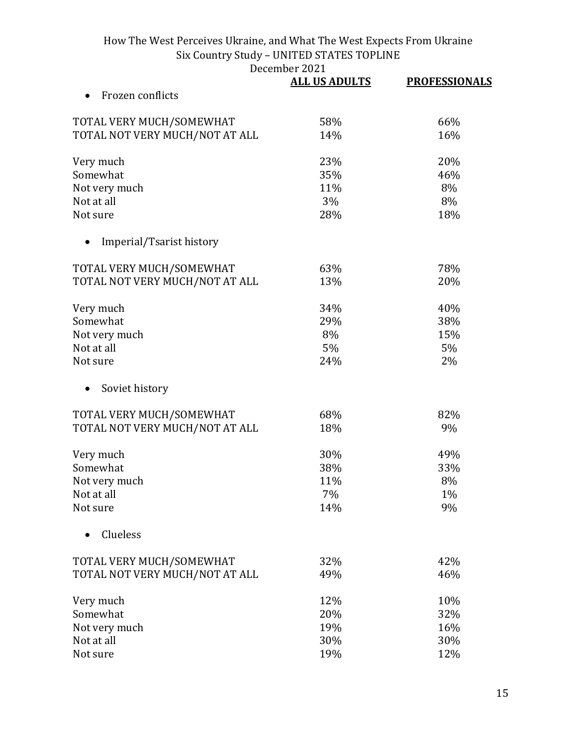December 2021

|                                | <b>ALL US ADULTS</b> | <b>PROFESSIONALS</b> |
|--------------------------------|----------------------|----------------------|
| Frozen conflicts               |                      |                      |
| TOTAL VERY MUCH/SOMEWHAT       | 58%                  | 66%                  |
| TOTAL NOT VERY MUCH/NOT AT ALL | 14%                  | 16%                  |
| Very much                      | 23%                  | 20%                  |
| Somewhat                       | 35%                  | 46%                  |
| Not very much                  | 11%                  | 8%                   |
| Not at all                     | 3%                   | 8%                   |
| Not sure                       | 28%                  | 18%                  |
| Imperial/Tsarist history       |                      |                      |
| TOTAL VERY MUCH/SOMEWHAT       | 63%                  | 78%                  |
| TOTAL NOT VERY MUCH/NOT AT ALL | 13%                  | 20%                  |
| Very much                      | 34%                  | 40%                  |
| Somewhat                       | 29%                  | 38%                  |
| Not very much                  | 8%                   | 15%                  |
| Not at all                     | 5%                   | 5%                   |
| Not sure                       | 24%                  | 2%                   |
| Soviet history                 |                      |                      |
| TOTAL VERY MUCH/SOMEWHAT       | 68%                  | 82%                  |
| TOTAL NOT VERY MUCH/NOT AT ALL | 18%                  | 9%                   |
| Very much                      | 30%                  | 49%                  |
| Somewhat                       | 38%                  | 33%                  |
| Not very much                  | 11%                  | 8%                   |
| Not at all                     | 7%                   | 1%                   |
| Not sure                       | 14%                  | 9%                   |
| Clueless                       |                      |                      |
| TOTAL VERY MUCH/SOMEWHAT       | 32%                  | 42%                  |
| TOTAL NOT VERY MUCH/NOT AT ALL | 49%                  | 46%                  |
| Very much                      | 12%                  | 10%                  |
| Somewhat                       | 20%                  | 32%                  |
| Not very much                  | 19%                  | 16%                  |
| Not at all                     | 30%                  | 30%                  |
| Not sure                       | 19%                  | 12%                  |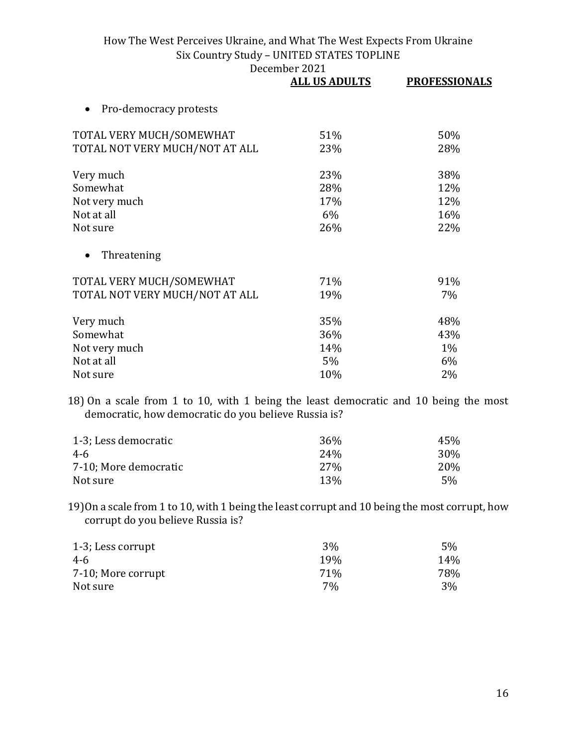|                                     | <b>ALL US ADULTS</b> | <b>PROFESSIONALS</b> |
|-------------------------------------|----------------------|----------------------|
| Pro-democracy protests<br>$\bullet$ |                      |                      |
| TOTAL VERY MUCH/SOMEWHAT            | 51%                  | 50%                  |
| TOTAL NOT VERY MUCH/NOT AT ALL      | 23%                  | 28%                  |
| Very much                           | 23%                  | 38%                  |
| Somewhat                            | 28%                  | 12%                  |
| Not very much                       | 17%                  | 12%                  |
| Not at all                          | 6%                   | 16%                  |
| Not sure                            | 26%                  | 22%                  |
| Threatening<br>$\bullet$            |                      |                      |
| TOTAL VERY MUCH/SOMEWHAT            | 71%                  | 91%                  |
| TOTAL NOT VERY MUCH/NOT AT ALL      | 19%                  | 7%                   |
| Very much                           | 35%                  | 48%                  |
| Somewhat                            | 36%                  | 43%                  |
| Not very much                       | 14%                  | $1\%$                |
| Not at all                          | 5%                   | 6%                   |
| Not sure                            | 10%                  | 2%                   |

18) On a scale from 1 to 10, with 1 being the least democratic and 10 being the most democratic, how democratic do you believe Russia is?

| 1-3; Less democratic  | 36 <sup>%</sup> | 45%        |
|-----------------------|-----------------|------------|
| 4-6                   | 24 <sub>%</sub> | 30%        |
| 7-10; More democratic | 27 <sub>%</sub> | <b>20%</b> |
| Not sure              | 13 <sub>%</sub> | 5%         |

19)On a scale from 1 to 10, with 1 being the least corrupt and 10 being the most corrupt, how corrupt do you believe Russia is?

| 1-3; Less corrupt  | 3%              | 5%  |
|--------------------|-----------------|-----|
| 4-6                | 19 <sub>%</sub> | 14% |
| 7-10; More corrupt | 71%             | 78% |
| Not sure           | 7%              | 3%  |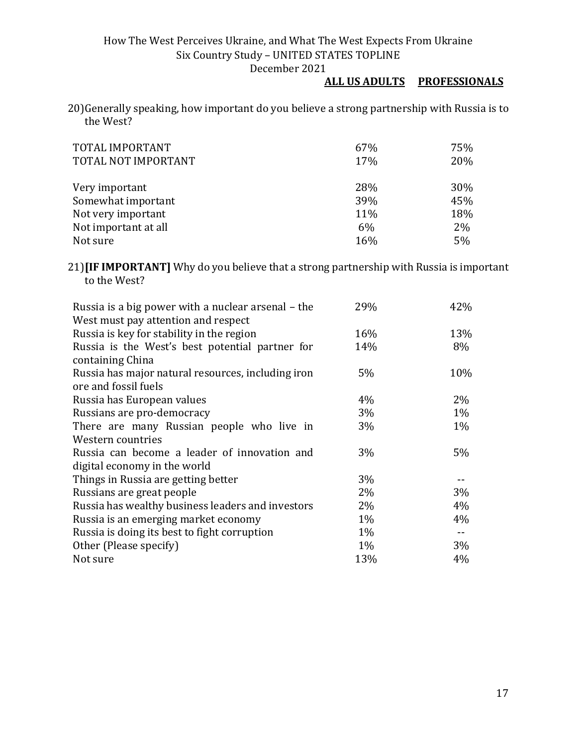## **ALL US ADULTS PROFESSIONALS**

20)Generally speaking, how important do you believe a strong partnership with Russia is to the West?

| TOTAL IMPORTANT<br>TOTAL NOT IMPORTANT | 67%<br>17% | 75%<br>20% |
|----------------------------------------|------------|------------|
| Very important                         | 28%        | 30%        |
| Somewhat important                     | 39%        | 45%        |
| Not very important                     | 11%        | 18%        |
| Not important at all                   | 6%         | 2%         |
| Not sure                               | 16%        | 5%         |

21)**[IF IMPORTANT]** Why do you believe that a strong partnership with Russia is important to the West?

| Russia is a big power with a nuclear arsenal – the | 29%   | 42%   |
|----------------------------------------------------|-------|-------|
| West must pay attention and respect                |       |       |
| Russia is key for stability in the region          | 16%   | 13%   |
| Russia is the West's best potential partner for    | 14%   | 8%    |
| containing China                                   |       |       |
| Russia has major natural resources, including iron | 5%    | 10%   |
| ore and fossil fuels                               |       |       |
| Russia has European values                         | 4%    | $2\%$ |
| Russians are pro-democracy                         | 3%    | $1\%$ |
| There are many Russian people who live in          | 3%    | $1\%$ |
| Western countries                                  |       |       |
| Russia can become a leader of innovation and       | 3%    | 5%    |
| digital economy in the world                       |       |       |
| Things in Russia are getting better                | 3%    |       |
| Russians are great people                          | $2\%$ | 3%    |
| Russia has wealthy business leaders and investors  | $2\%$ | 4%    |
| Russia is an emerging market economy               | $1\%$ | 4%    |
| Russia is doing its best to fight corruption       | $1\%$ |       |
| Other (Please specify)                             | 1%    | 3%    |
| Not sure                                           | 13%   | 4%    |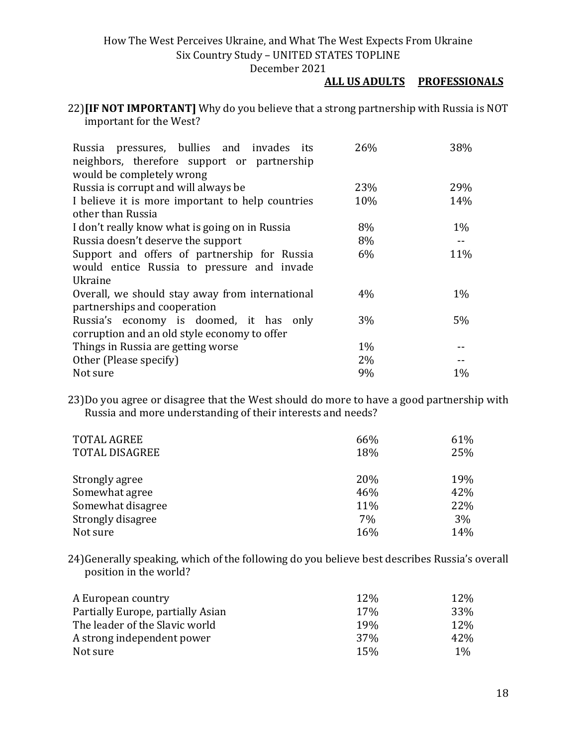December 2021

## **ALL US ADULTS PROFESSIONALS**

22)**[IF NOT IMPORTANT]** Why do you believe that a strong partnership with Russia is NOT important for the West?

| Russia pressures, bullies and invades its        | 26%   | 38%   |
|--------------------------------------------------|-------|-------|
| neighbors, therefore support or partnership      |       |       |
| would be completely wrong                        |       |       |
| Russia is corrupt and will always be             | 23%   | 29%   |
| I believe it is more important to help countries | 10%   | 14%   |
| other than Russia                                |       |       |
| I don't really know what is going on in Russia   | 8%    | $1\%$ |
| Russia doesn't deserve the support               | 8%    |       |
| Support and offers of partnership for Russia     | 6%    | 11%   |
| would entice Russia to pressure and invade       |       |       |
| Ukraine                                          |       |       |
| Overall, we should stay away from international  | 4%    | $1\%$ |
| partnerships and cooperation                     |       |       |
| Russia's economy is doomed, it has only          | 3%    | 5%    |
| corruption and an old style economy to offer     |       |       |
| Things in Russia are getting worse               | $1\%$ |       |
| Other (Please specify)                           | 2%    |       |
| Not sure                                         | 9%    | $1\%$ |

23)Do you agree or disagree that the West should do more to have a good partnership with Russia and more understanding of their interests and needs?

| <b>TOTAL AGREE</b>    | 66% | 61% |
|-----------------------|-----|-----|
| <b>TOTAL DISAGREE</b> | 18% | 25% |
|                       |     |     |
| Strongly agree        | 20% | 19% |
| Somewhat agree        | 46% | 42% |
| Somewhat disagree     | 11% | 22% |
| Strongly disagree     | 7%  | 3%  |
| Not sure              | 16% | 14% |

24)Generally speaking, which of the following do you believe best describes Russia's overall position in the world?

| A European country                | 12% | 12%   |
|-----------------------------------|-----|-------|
| Partially Europe, partially Asian | 17% | 33%   |
| The leader of the Slavic world    | 19% | 12%   |
| A strong independent power        | 37% | 42\%  |
| Not sure                          | 15% | $1\%$ |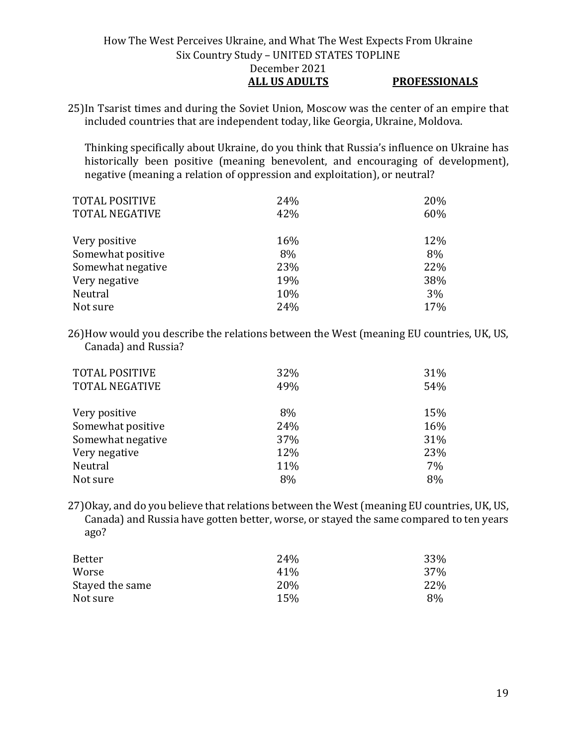## How The West Perceives Ukraine, and What The West Expects From Ukraine Six Country Study – UNITED STATES TOPLINE December 2021 **ALL US ADULTS PROFESSIONALS**

25)In Tsarist times and during the Soviet Union, Moscow was the center of an empire that included countries that are independent today, like Georgia, Ukraine, Moldova.

Thinking specifically about Ukraine, do you think that Russia's influence on Ukraine has historically been positive (meaning benevolent, and encouraging of development), negative (meaning a relation of oppression and exploitation), or neutral?

| <b>TOTAL POSITIVE</b> | 24% | 20% |
|-----------------------|-----|-----|
| <b>TOTAL NEGATIVE</b> | 42% | 60% |
|                       |     |     |
| Very positive         | 16% | 12% |
| Somewhat positive     | 8%  | 8%  |
| Somewhat negative     | 23% | 22% |
| Very negative         | 19% | 38% |
| Neutral               | 10% | 3%  |
| Not sure              | 24% | 17% |

26)How would you describe the relations between the West (meaning EU countries, UK, US, Canada) and Russia?

| <b>TOTAL POSITIVE</b><br><b>TOTAL NEGATIVE</b> | 32%<br>49% | 31%<br>54% |
|------------------------------------------------|------------|------------|
| Very positive                                  | 8%         | 15%        |
| Somewhat positive                              | 24%        | 16%        |
| Somewhat negative                              | 37%        | 31%        |
| Very negative                                  | 12%        | 23%        |
| Neutral                                        | 11%        | 7%         |
| Not sure                                       | 8%         | 8%         |

27)Okay, and do you believe that relations between the West (meaning EU countries, UK, US, Canada) and Russia have gotten better, worse, or stayed the same compared to ten years ago?

| Better          | 24%             | 33% |
|-----------------|-----------------|-----|
| Worse           | 41 <sup>%</sup> | 37% |
| Stayed the same | <b>20%</b>      | 22% |
| Not sure        | 15%             | 8%  |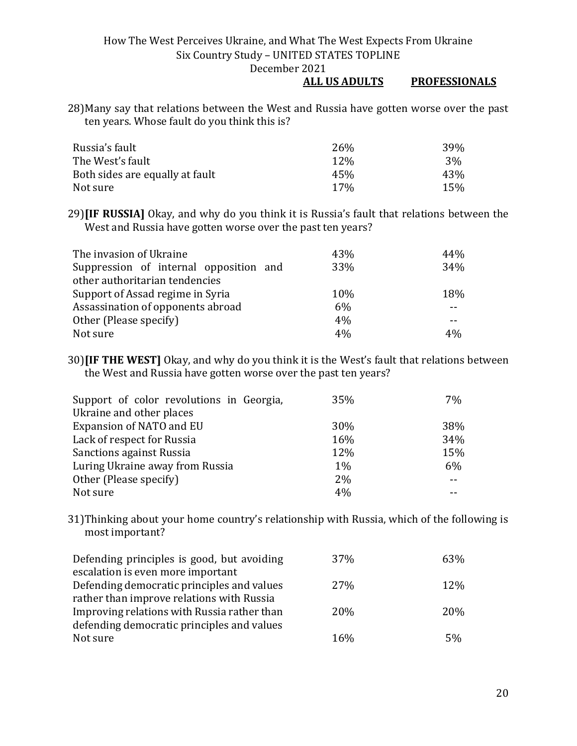December 2021

#### **ALL US ADULTS PROFESSIONALS**

28)Many say that relations between the West and Russia have gotten worse over the past ten years. Whose fault do you think this is?

| Russia's fault                  | 26 <sub>%</sub> | 39% |
|---------------------------------|-----------------|-----|
| The West's fault                | 12\%            | 3%  |
| Both sides are equally at fault | 45%             | 43% |
| Not sure                        | $17\%$          | 15% |

29)**[IF RUSSIA]** Okay, and why do you think it is Russia's fault that relations between the West and Russia have gotten worse over the past ten years?

| The invasion of Ukraine                | 43% | 44% |
|----------------------------------------|-----|-----|
| Suppression of internal opposition and | 33% | 34% |
| other authoritarian tendencies         |     |     |
| Support of Assad regime in Syria       | 10% | 18% |
| Assassination of opponents abroad      | 6%  |     |
| Other (Please specify)                 | 4%  |     |
| Not sure                               | 4%  | 4%  |

30)**[IF THE WEST]** Okay, and why do you think it is the West's fault that relations between the West and Russia have gotten worse over the past ten years?

| Support of color revolutions in Georgia, | 35%   | 7%  |
|------------------------------------------|-------|-----|
| Ukraine and other places                 |       |     |
| Expansion of NATO and EU                 | 30%   | 38% |
| Lack of respect for Russia               | 16%   | 34% |
| Sanctions against Russia                 | 12%   | 15% |
| Luring Ukraine away from Russia          | $1\%$ | 6%  |
| Other (Please specify)                   | $2\%$ |     |
| Not sure                                 | 4%    |     |

31)Thinking about your home country's relationship with Russia, which of the following is most important?

| Defending principles is good, but avoiding  | 37%        | 63% |
|---------------------------------------------|------------|-----|
| escalation is even more important           |            |     |
| Defending democratic principles and values  | <b>27%</b> | 12% |
| rather than improve relations with Russia   |            |     |
| Improving relations with Russia rather than | <b>20%</b> | 20% |
| defending democratic principles and values  |            |     |
| Not sure                                    | 16%        | 5%  |
|                                             |            |     |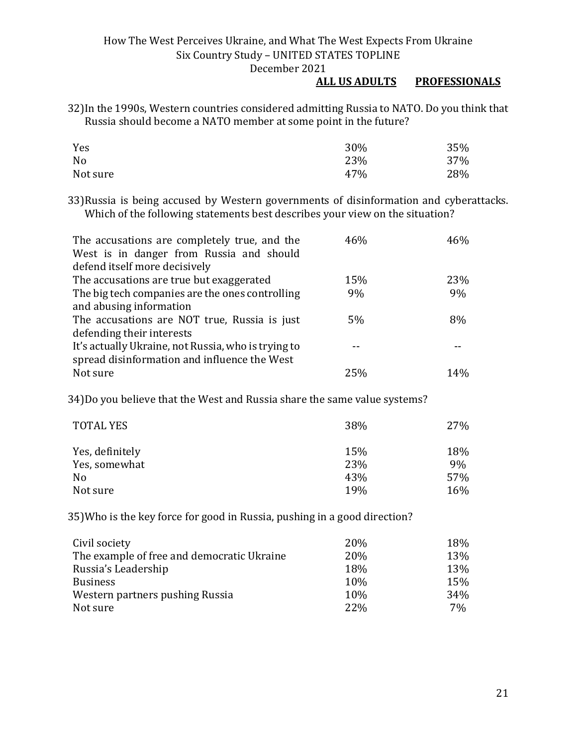#### **ALL US ADULTS PROFESSIONALS**

32)In the 1990s, Western countries considered admitting Russia to NATO. Do you think that Russia should become a NATO member at some point in the future?

| Yes      | 30% | 35% |
|----------|-----|-----|
| No       | 23% | 37% |
| Not sure | 47% | 28% |

33)Russia is being accused by Western governments of disinformation and cyberattacks. Which of the following statements best describes your view on the situation?

| The accusations are completely true, and the<br>West is in danger from Russia and should | 46% | 46% |
|------------------------------------------------------------------------------------------|-----|-----|
| defend itself more decisively                                                            |     |     |
| The accusations are true but exaggerated                                                 | 15% | 23% |
| The big tech companies are the ones controlling                                          | 9%  | 9%  |
| and abusing information                                                                  |     |     |
| The accusations are NOT true, Russia is just                                             | 5%  | 8%  |
| defending their interests                                                                |     |     |
| It's actually Ukraine, not Russia, who is trying to                                      |     |     |
| spread disinformation and influence the West                                             |     |     |
| Not sure                                                                                 | 25% | 14% |

34)Do you believe that the West and Russia share the same value systems?

| <b>TOTAL YES</b> | 38% | 27% |
|------------------|-----|-----|
| Yes, definitely  | 15% | 18% |
| Yes, somewhat    | 23% | 9%  |
| No               | 43% | 57% |
| Not sure         | 19% | 16% |

35)Who is the key force for good in Russia, pushing in a good direction?

| Civil society                              | 20% | 18% |
|--------------------------------------------|-----|-----|
| The example of free and democratic Ukraine | 20% | 13% |
| Russia's Leadership                        | 18% | 13% |
| <b>Business</b>                            | 10% | 15% |
| Western partners pushing Russia            | 10% | 34% |
| Not sure                                   | 22% | 7%  |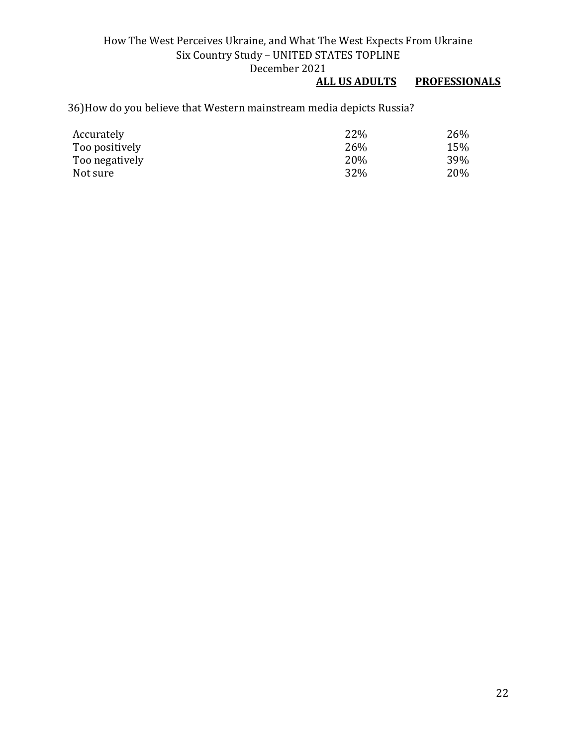# **PROFESSIONALS**

# 36)How do you believe that Western mainstream media depicts Russia?

| Accurately     | 22%  | 26% |
|----------------|------|-----|
| Too positively | 26\% | 15% |
| Too negatively | 20%  | 39% |
| Not sure       | 32%  | 20% |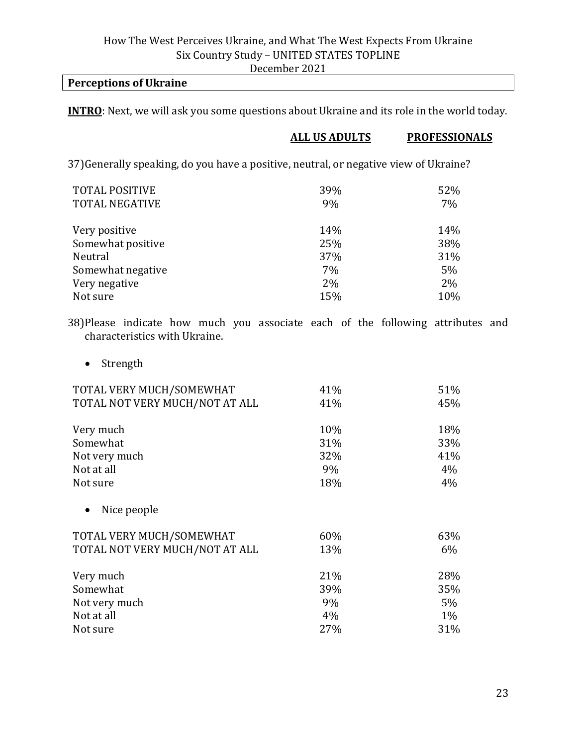#### **Perceptions of Ukraine**

**INTRO**: Next, we will ask you some questions about Ukraine and its role in the world today.

#### **ALL US ADULTS PROFESSIONALS**

37)Generally speaking, do you have a positive, neutral, or negative view of Ukraine?

| <b>TOTAL POSITIVE</b><br><b>TOTAL NEGATIVE</b> | 39%<br>9% | 52%<br>7% |
|------------------------------------------------|-----------|-----------|
| Very positive                                  | 14%       | 14%       |
| Somewhat positive                              | 25%       | 38%       |
| Neutral                                        | 37%       | 31%       |
| Somewhat negative                              | 7%        | 5%        |
| Very negative                                  | 2%        | 2%        |
| Not sure                                       | 15%       | 10%       |

38)Please indicate how much you associate each of the following attributes and characteristics with Ukraine.

• Strength

| TOTAL VERY MUCH/SOMEWHAT       | 41% | 51%   |
|--------------------------------|-----|-------|
| TOTAL NOT VERY MUCH/NOT AT ALL | 41% | 45%   |
| Very much                      | 10% | 18%   |
| Somewhat                       | 31% | 33%   |
| Not very much                  | 32% | 41%   |
| Not at all                     | 9%  | 4%    |
| Not sure                       | 18% | 4%    |
| Nice people                    |     |       |
| TOTAL VERY MUCH/SOMEWHAT       | 60% | 63%   |
| TOTAL NOT VERY MUCH/NOT AT ALL | 13% | $6\%$ |
| Very much                      | 21% | 28%   |
| Somewhat                       | 39% | 35%   |
| Not very much                  | 9%  | $5\%$ |
| Not at all                     | 4%  | $1\%$ |
| Not sure                       | 27% | 31%   |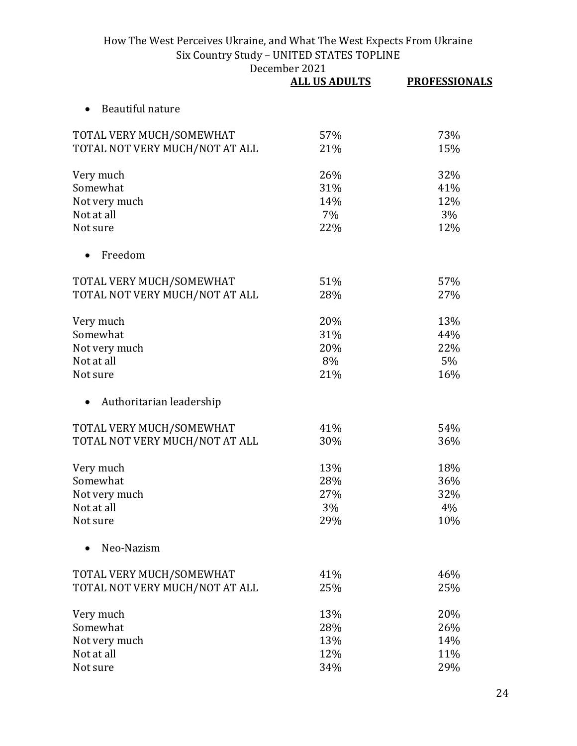|                                | <b>ALL US ADULTS</b> | <b>PROFESSIONALS</b> |
|--------------------------------|----------------------|----------------------|
| Beautiful nature               |                      |                      |
| TOTAL VERY MUCH/SOMEWHAT       | 57%                  | 73%                  |
| TOTAL NOT VERY MUCH/NOT AT ALL | 21%                  | 15%                  |
| Very much                      | 26%                  | 32%                  |
| Somewhat                       | 31%                  | 41%                  |
| Not very much                  | 14%                  | 12%                  |
| Not at all                     | 7%                   | 3%                   |
| Not sure                       | 22%                  | 12%                  |
| Freedom                        |                      |                      |
| TOTAL VERY MUCH/SOMEWHAT       | 51%                  | 57%                  |
| TOTAL NOT VERY MUCH/NOT AT ALL | 28%                  | 27%                  |
| Very much                      | 20%                  | 13%                  |
| Somewhat                       | 31%                  | 44%                  |
| Not very much                  | 20%                  | 22%                  |
| Not at all                     | 8%                   | 5%                   |
| Not sure                       | 21%                  | 16%                  |
| Authoritarian leadership       |                      |                      |
| TOTAL VERY MUCH/SOMEWHAT       | 41%                  | 54%                  |
| TOTAL NOT VERY MUCH/NOT AT ALL | 30%                  | 36%                  |
| Very much                      | 13%                  | 18%                  |
| Somewhat                       | 28%                  | 36%                  |
| Not very much                  | 27%                  | 32%                  |
| Not at all                     | 3%                   | 4%                   |
| Not sure                       | 29%                  | 10%                  |
| Neo-Nazism                     |                      |                      |
| TOTAL VERY MUCH/SOMEWHAT       | 41%                  | 46%                  |
| TOTAL NOT VERY MUCH/NOT AT ALL | 25%                  | 25%                  |
| Very much                      | 13%                  | 20%                  |
| Somewhat                       | 28%                  | 26%                  |
| Not very much                  | 13%                  | 14%                  |
| Not at all                     | 12%                  | 11%                  |
| Not sure                       | 34%                  | 29%                  |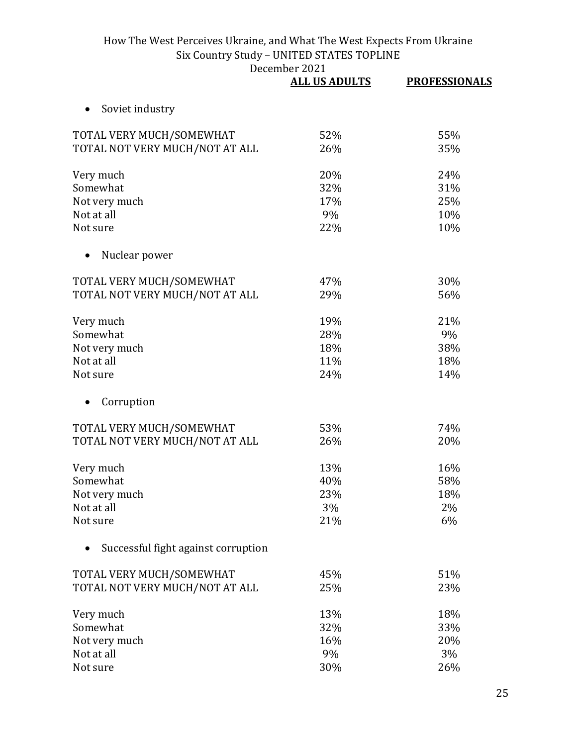|                                     | <b>ALL US ADULTS</b> | <b>PROFESSIONALS</b> |
|-------------------------------------|----------------------|----------------------|
| Soviet industry                     |                      |                      |
| TOTAL VERY MUCH/SOMEWHAT            | 52%                  | 55%                  |
| TOTAL NOT VERY MUCH/NOT AT ALL      | 26%                  | 35%                  |
| Very much                           | 20%                  | 24%                  |
| Somewhat                            | 32%                  | 31%                  |
| Not very much                       | 17%                  | 25%                  |
| Not at all                          | 9%                   | 10%                  |
| Not sure                            | 22%                  | 10%                  |
| Nuclear power                       |                      |                      |
| TOTAL VERY MUCH/SOMEWHAT            | 47%                  | 30%                  |
| TOTAL NOT VERY MUCH/NOT AT ALL      | 29%                  | 56%                  |
| Very much                           | 19%                  | 21%                  |
| Somewhat                            | 28%                  | 9%                   |
| Not very much                       | 18%                  | 38%                  |
| Not at all                          | 11%                  | 18%                  |
| Not sure                            | 24%                  | 14%                  |
| Corruption                          |                      |                      |
| TOTAL VERY MUCH/SOMEWHAT            | 53%                  | 74%                  |
| TOTAL NOT VERY MUCH/NOT AT ALL      | 26%                  | 20%                  |
| Very much                           | 13%                  | 16%                  |
| Somewhat                            | 40%                  | 58%                  |
| Not very much                       | 23%                  | 18%                  |
| Not at all                          | 3%                   | 2%                   |
| Not sure                            | 21%                  | 6%                   |
| Successful fight against corruption |                      |                      |
| TOTAL VERY MUCH/SOMEWHAT            | 45%                  | 51%                  |
| TOTAL NOT VERY MUCH/NOT AT ALL      | 25%                  | 23%                  |
| Very much                           | 13%                  | 18%                  |
| Somewhat                            | 32%                  | 33%                  |
| Not very much                       | 16%                  | 20%                  |
| Not at all                          | 9%                   | 3%                   |
| Not sure                            | 30%                  | 26%                  |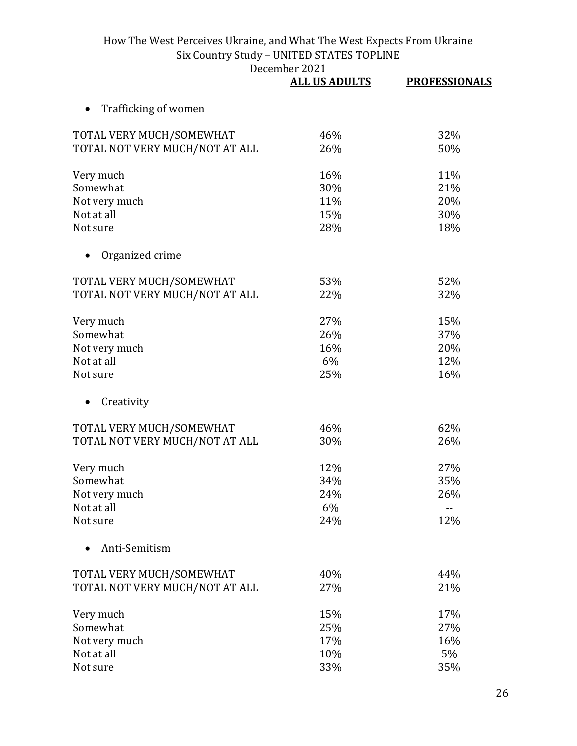|                                | <b>ALL US ADULTS</b> | <b>PROFESSIONALS</b> |
|--------------------------------|----------------------|----------------------|
| Trafficking of women           |                      |                      |
| TOTAL VERY MUCH/SOMEWHAT       | 46%                  | 32%                  |
| TOTAL NOT VERY MUCH/NOT AT ALL | 26%                  | 50%                  |
| Very much                      | 16%                  | 11%                  |
| Somewhat                       | 30%                  | 21%                  |
| Not very much                  | 11%                  | 20%                  |
| Not at all                     | 15%                  | 30%                  |
| Not sure                       | 28%                  | 18%                  |
| Organized crime                |                      |                      |
| TOTAL VERY MUCH/SOMEWHAT       | 53%                  | 52%                  |
| TOTAL NOT VERY MUCH/NOT AT ALL | 22%                  | 32%                  |
| Very much                      | 27%                  | 15%                  |
| Somewhat                       | 26%                  | 37%                  |
| Not very much                  | 16%                  | 20%                  |
| Not at all                     | 6%                   | 12%                  |
| Not sure                       | 25%                  | 16%                  |
| Creativity<br>$\bullet$        |                      |                      |
| TOTAL VERY MUCH/SOMEWHAT       | 46%                  | 62%                  |
| TOTAL NOT VERY MUCH/NOT AT ALL | 30%                  | 26%                  |
| Very much                      | 12%                  | 27%                  |
| Somewhat                       | 34%                  | 35%                  |
| Not very much                  | 24%                  | 26%                  |
| Not at all                     | 6%                   |                      |
| Not sure                       | 24%                  | 12%                  |
| Anti-Semitism                  |                      |                      |
| TOTAL VERY MUCH/SOMEWHAT       | 40%                  | 44%                  |
| TOTAL NOT VERY MUCH/NOT AT ALL | 27%                  | 21%                  |
| Very much                      | 15%                  | 17%                  |
| Somewhat                       | 25%                  | 27%                  |
| Not very much                  | 17%                  | 16%                  |

Not at all 10% 5%

Not sure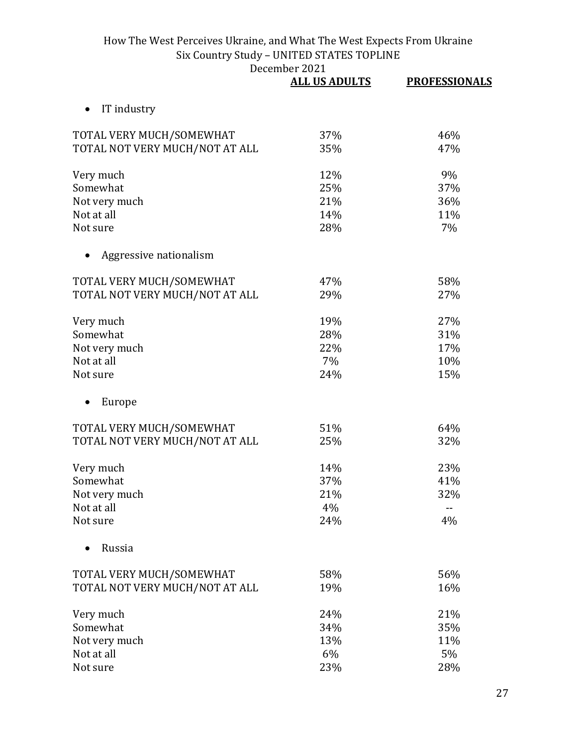|                                | <b>ALL US ADULTS</b> | <b>PROFESSIONALS</b> |
|--------------------------------|----------------------|----------------------|
| IT industry                    |                      |                      |
| TOTAL VERY MUCH/SOMEWHAT       | 37%                  | 46%                  |
| TOTAL NOT VERY MUCH/NOT AT ALL | 35%                  | 47%                  |
| Very much                      | 12%                  | 9%                   |
| Somewhat                       | 25%                  | 37%                  |
| Not very much                  | 21%                  | 36%                  |
| Not at all                     | 14%                  | 11%                  |
| Not sure                       | 28%                  | 7%                   |
| Aggressive nationalism         |                      |                      |
| TOTAL VERY MUCH/SOMEWHAT       | 47%                  | 58%                  |
| TOTAL NOT VERY MUCH/NOT AT ALL | 29%                  | 27%                  |
| Very much                      | 19%                  | 27%                  |
| Somewhat                       | 28%                  | 31%                  |
| Not very much                  | 22%                  | 17%                  |
| Not at all                     | 7%                   | 10%                  |
| Not sure                       | 24%                  | 15%                  |
| Europe                         |                      |                      |
| TOTAL VERY MUCH/SOMEWHAT       | 51%                  | 64%                  |
| TOTAL NOT VERY MUCH/NOT AT ALL | 25%                  | 32%                  |
| Very much                      | 14%                  | 23%                  |
| Somewhat                       | 37%                  | 41%                  |
| Not very much                  | 21%                  | 32%                  |
| Not at all                     | 4%                   |                      |
| Not sure                       | 24%                  | 4%                   |
| Russia                         |                      |                      |
| TOTAL VERY MUCH/SOMEWHAT       | 58%                  | 56%                  |
| TOTAL NOT VERY MUCH/NOT AT ALL | 19%                  | 16%                  |
| Very much                      | 24%                  | 21%                  |
| Somewhat                       | 34%                  | 35%                  |
| Not very much                  | 13%                  | 11%                  |
| Not at all                     | 6%                   | 5%                   |
| Not sure                       | 23%                  | 28%                  |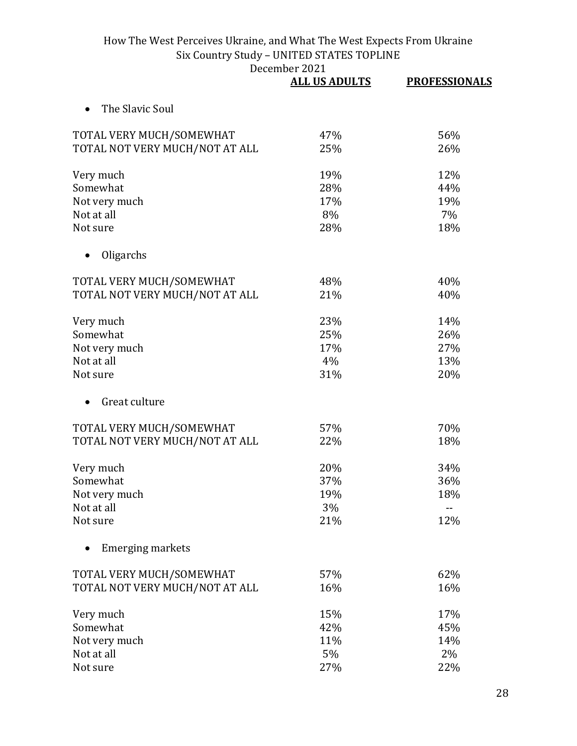|                                | <b>ALL US ADULTS</b> | <b>PROFESSIONALS</b> |
|--------------------------------|----------------------|----------------------|
| The Slavic Soul                |                      |                      |
| TOTAL VERY MUCH/SOMEWHAT       | 47%                  | 56%                  |
| TOTAL NOT VERY MUCH/NOT AT ALL | 25%                  | 26%                  |
| Very much                      | 19%                  | 12%                  |
| Somewhat                       | 28%                  | 44%                  |
| Not very much                  | 17%                  | 19%                  |
| Not at all                     | 8%                   | 7%                   |
| Not sure                       | 28%                  | 18%                  |
| Oligarchs                      |                      |                      |
| TOTAL VERY MUCH/SOMEWHAT       | 48%                  | 40%                  |
| TOTAL NOT VERY MUCH/NOT AT ALL | 21%                  | 40%                  |
| Very much                      | 23%                  | 14%                  |
| Somewhat                       | 25%                  | 26%                  |
| Not very much                  | 17%                  | 27%                  |
| Not at all                     | 4%                   | 13%                  |
| Not sure                       | 31%                  | 20%                  |
| Great culture                  |                      |                      |
| TOTAL VERY MUCH/SOMEWHAT       | 57%                  | 70%                  |
| TOTAL NOT VERY MUCH/NOT AT ALL | 22%                  | 18%                  |
| Very much                      | 20%                  | 34%                  |
| Somewhat                       | 37%                  | 36%                  |
| Not very much                  | 19%                  | 18%                  |
| Not at all                     | 3%                   |                      |
| Not sure                       | 21%                  | 12%                  |
| <b>Emerging markets</b>        |                      |                      |
| TOTAL VERY MUCH/SOMEWHAT       | 57%                  | 62%                  |
| TOTAL NOT VERY MUCH/NOT AT ALL | 16%                  | 16%                  |
| Very much                      | 15%                  | 17%                  |
| Somewhat                       | 42%                  | 45%                  |
| Not very much                  | 11%                  | 14%                  |
| Not at all                     | 5%                   | 2%                   |
| Not sure                       | 27%                  | 22%                  |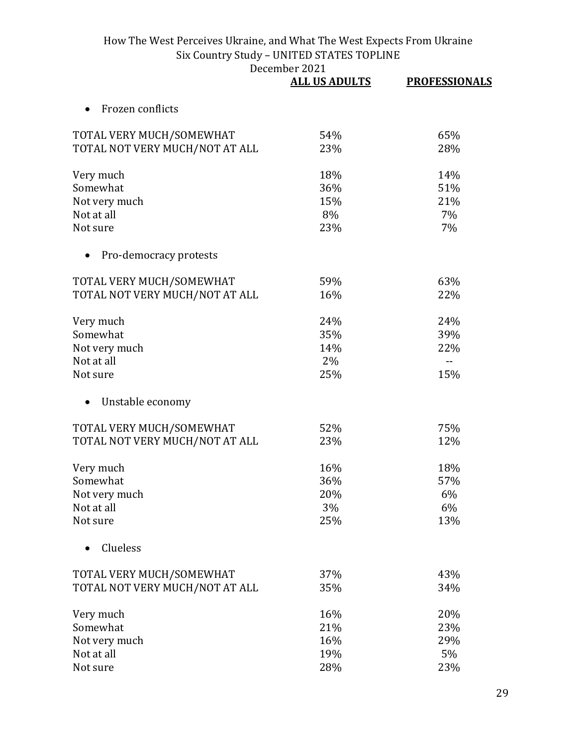|                                | <b>ALL US ADULTS</b> | <b>PROFESSIONALS</b> |
|--------------------------------|----------------------|----------------------|
| Frozen conflicts               |                      |                      |
| TOTAL VERY MUCH/SOMEWHAT       | 54%                  | 65%                  |
| TOTAL NOT VERY MUCH/NOT AT ALL | 23%                  | 28%                  |
| Very much                      | 18%                  | 14%                  |
| Somewhat                       | 36%                  | 51%                  |
| Not very much                  | 15%                  | 21%                  |
| Not at all                     | 8%                   | 7%                   |
| Not sure                       | 23%                  | 7%                   |
| Pro-democracy protests         |                      |                      |
| TOTAL VERY MUCH/SOMEWHAT       | 59%                  | 63%                  |
| TOTAL NOT VERY MUCH/NOT AT ALL | 16%                  | 22%                  |
| Very much                      | 24%                  | 24%                  |
| Somewhat                       | 35%                  | 39%                  |
| Not very much                  | 14%                  | 22%                  |
| Not at all                     | 2%                   | $-$                  |
| Not sure                       | 25%                  | 15%                  |
| Unstable economy               |                      |                      |
| TOTAL VERY MUCH/SOMEWHAT       | 52%                  | 75%                  |
| TOTAL NOT VERY MUCH/NOT AT ALL | 23%                  | 12%                  |
| Very much                      | 16%                  | 18%                  |
| Somewhat                       | 36%                  | 57%                  |
| Not very much                  | 20%                  | 6%                   |
| Not at all                     | 3%                   | 6%                   |
| Not sure                       | 25%                  | 13%                  |
| Clueless                       |                      |                      |
| TOTAL VERY MUCH/SOMEWHAT       | 37%                  | 43%                  |
| TOTAL NOT VERY MUCH/NOT AT ALL | 35%                  | 34%                  |
| Very much                      | 16%                  | 20%                  |
| Somewhat                       | 21%                  | 23%                  |
| Not very much                  | 16%                  | 29%                  |
| Not at all                     | 19%                  | 5%                   |
| Not sure                       | 28%                  | 23%                  |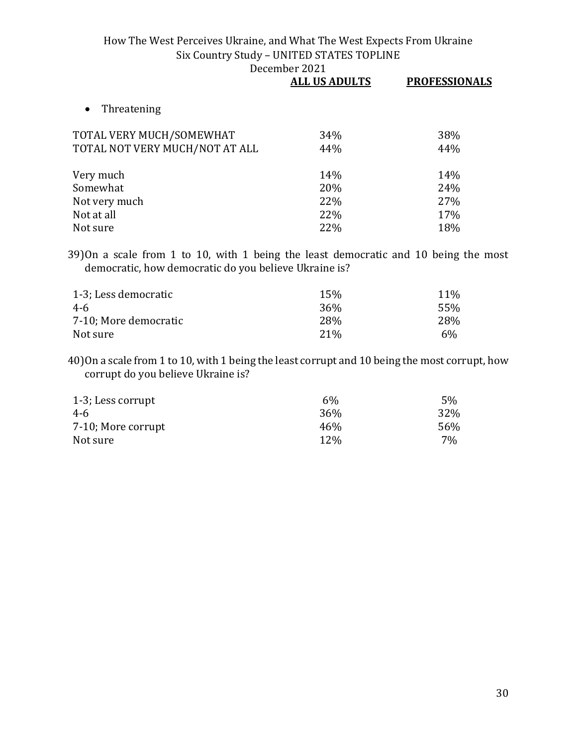|                                | <b>ALL US ADULTS</b> | <b>PROFESSIONALS</b> |
|--------------------------------|----------------------|----------------------|
| Threatening<br>$\bullet$       |                      |                      |
| TOTAL VERY MUCH/SOMEWHAT       | 34%                  | 38%                  |
| TOTAL NOT VERY MUCH/NOT AT ALL | 44%                  | 44%                  |
| Very much                      | 14%                  | 14%                  |
| Somewhat                       | 20%                  | 24%                  |
| Not very much                  | 22%                  | 27%                  |
| Not at all                     | 22%                  | 17%                  |
| Not sure                       | 22%                  | 18%                  |
|                                |                      |                      |

39)On a scale from 1 to 10, with 1 being the least democratic and 10 being the most democratic, how democratic do you believe Ukraine is?

| 1-3; Less democratic  | 15%    | <b>11%</b> |
|-----------------------|--------|------------|
| 4-6                   | 36%    | 55%        |
| 7-10; More democratic | 28%    | 28%        |
| Not sure              | $21\%$ | 6%         |

40)On a scale from 1 to 10, with 1 being the least corrupt and 10 being the most corrupt, how corrupt do you believe Ukraine is?

| 1-3; Less corrupt  | 6%         | 5%  |
|--------------------|------------|-----|
| 4-6                | 36%        | 32% |
| 7-10; More corrupt | 46%        | 56% |
| Not sure           | <b>12%</b> | 7%  |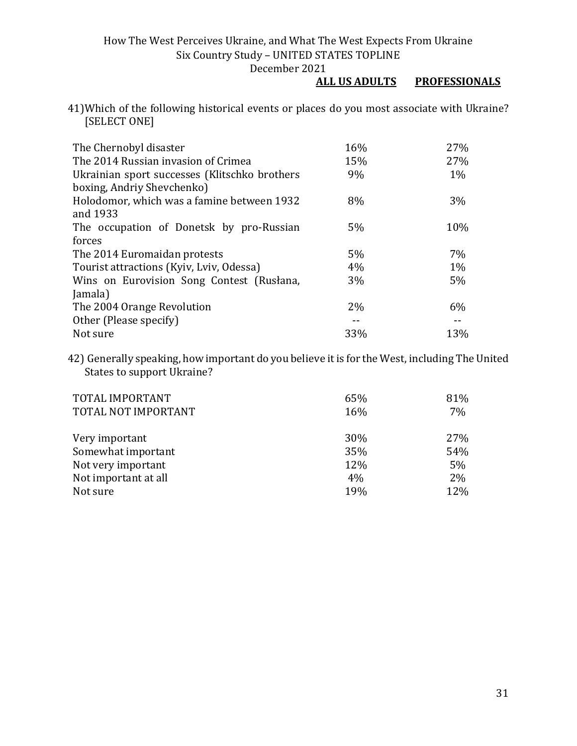## December 2021<br>ALL US ADULTS **PROFESSIONALS**

41)Which of the following historical events or places do you most associate with Ukraine? [SELECT ONE]

| The Chernobyl disaster                        | 16%   | 27%   |
|-----------------------------------------------|-------|-------|
| The 2014 Russian invasion of Crimea           | 15%   | 27%   |
| Ukrainian sport successes (Klitschko brothers | 9%    | $1\%$ |
| boxing, Andriy Shevchenko)                    |       |       |
| Holodomor, which was a famine between 1932    | 8%    | 3%    |
| and 1933                                      |       |       |
| The occupation of Donetsk by pro-Russian      | $5\%$ | 10%   |
| forces                                        |       |       |
| The 2014 Euromaidan protests                  | 5%    | 7%    |
| Tourist attractions (Kyiv, Lviv, Odessa)      | 4%    | $1\%$ |
| Wins on Eurovision Song Contest (Rusłana,     | $3\%$ | 5%    |
| Jamala)                                       |       |       |
| The 2004 Orange Revolution                    | $2\%$ | 6%    |
| Other (Please specify)                        |       |       |
| Not sure                                      | 33%   | 13%   |

42) Generally speaking, how important do you believe it is for the West, including The United States to support Ukraine?

| TOTAL IMPORTANT<br>TOTAL NOT IMPORTANT | 65%<br>16% | 81%<br>7% |
|----------------------------------------|------------|-----------|
| Very important                         | 30%        | 27%       |
| Somewhat important                     | 35%        | 54%       |
| Not very important                     | 12%        | 5%        |
| Not important at all                   | 4%         | 2%        |
| Not sure                               | 19%        | 12%       |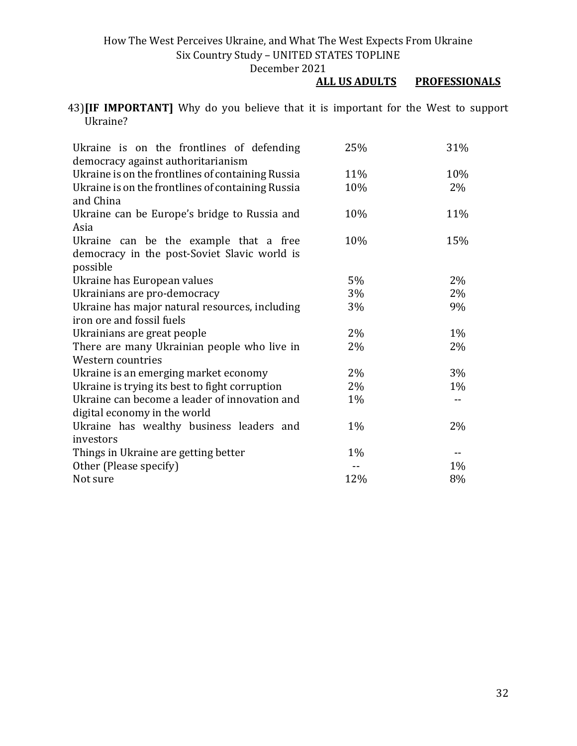#### December 2021<br>ALL US ADULTS **PROFESSIONALS**

43)**[IF IMPORTANT]** Why do you believe that it is important for the West to support Ukraine?

| Ukraine is on the frontlines of defending         | 25%   | 31%   |
|---------------------------------------------------|-------|-------|
| democracy against authoritarianism                |       |       |
| Ukraine is on the frontlines of containing Russia | 11%   | 10%   |
| Ukraine is on the frontlines of containing Russia | 10%   | 2%    |
| and China                                         |       |       |
| Ukraine can be Europe's bridge to Russia and      | 10%   | 11%   |
| Asia                                              |       |       |
| Ukraine can be the example that a free            | 10%   | 15%   |
| democracy in the post-Soviet Slavic world is      |       |       |
| possible                                          |       |       |
| Ukraine has European values                       | 5%    | 2%    |
| Ukrainians are pro-democracy                      | 3%    | 2%    |
| Ukraine has major natural resources, including    | 3%    | 9%    |
| iron ore and fossil fuels                         |       |       |
| Ukrainians are great people                       | 2%    | 1%    |
| There are many Ukrainian people who live in       | 2%    | 2%    |
| Western countries                                 |       |       |
| Ukraine is an emerging market economy             | 2%    | 3%    |
| Ukraine is trying its best to fight corruption    | 2%    | $1\%$ |
| Ukraine can become a leader of innovation and     | 1%    |       |
| digital economy in the world                      |       |       |
| Ukraine has wealthy business leaders and          | $1\%$ | 2%    |
| investors                                         |       |       |
| Things in Ukraine are getting better              | $1\%$ | $-$   |
| Other (Please specify)                            |       | 1%    |
| Not sure                                          | 12%   | 8%    |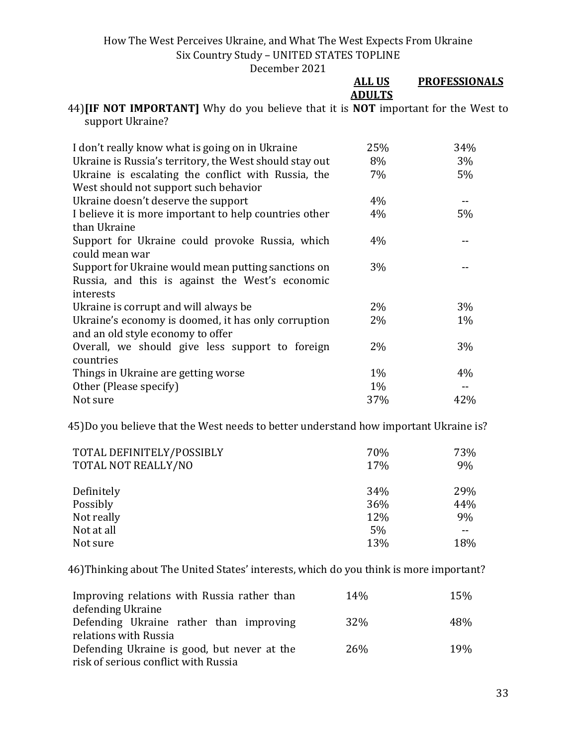| DUUUHIUUI LULI                                                                                                      |               |                      |
|---------------------------------------------------------------------------------------------------------------------|---------------|----------------------|
|                                                                                                                     | <b>ALL US</b> | <b>PROFESSIONALS</b> |
|                                                                                                                     | <b>ADULTS</b> |                      |
| 44) <b>IIF NOT IMPORTANT</b> Why do you believe that it is <b>NOT</b> important for the West to<br>support Ukraine? |               |                      |
| I don't really know what is going on in Ukraine                                                                     | 25%           | 34%                  |
| Ukraine is Russia's territory, the West should stay out                                                             | 8%            | 3%                   |
| Ukraine is escalating the conflict with Russia, the                                                                 | 7%            | 5%                   |
| West should not support such behavior                                                                               |               |                      |
| Ukraine doesn't deserve the support                                                                                 | 4%            |                      |
| I believe it is more important to help countries other                                                              | 4%            | 5%                   |
| than Ukraine                                                                                                        |               |                      |
| Support for Ukraine could provoke Russia, which                                                                     | 4%            |                      |
| could mean war                                                                                                      |               |                      |
| Support for Ukraine would mean putting sanctions on                                                                 | 3%            |                      |
| Russia, and this is against the West's economic                                                                     |               |                      |
| interests                                                                                                           |               |                      |
| Ukraine is corrupt and will always be                                                                               | 2%            | 3%                   |
| Ukraine's economy is doomed, it has only corruption                                                                 | 2%            | $1\%$                |
| and an old style economy to offer                                                                                   |               |                      |
| Overall, we should give less support to foreign                                                                     | 2%            | 3%                   |
| countries                                                                                                           |               |                      |
| Things in Ukraine are getting worse                                                                                 | 1%            | 4%                   |
| Other (Please specify)                                                                                              | $1\%$         |                      |
| Not sure                                                                                                            | 37%           | 42%                  |

45)Do you believe that the West needs to better understand how important Ukraine is?

| TOTAL DEFINITELY/POSSIBLY | 70% | 73%   |
|---------------------------|-----|-------|
| TOTAL NOT REALLY/NO       | 17% | 9%    |
|                           |     |       |
| Definitely                | 34% | 29%   |
| Possibly                  | 36% | 44%   |
| Not really                | 12% | 9%    |
| Not at all                | 5%  | $- -$ |
| Not sure                  | 13% | 18%   |

46)Thinking about The United States' interests, which do you think is more important?

| Improving relations with Russia rather than | 14%        | 15% |
|---------------------------------------------|------------|-----|
| defending Ukraine                           |            |     |
| Defending Ukraine rather than improving     | <b>32%</b> | 48% |
| relations with Russia                       |            |     |
| Defending Ukraine is good, but never at the | <b>26%</b> | 19% |
| risk of serious conflict with Russia        |            |     |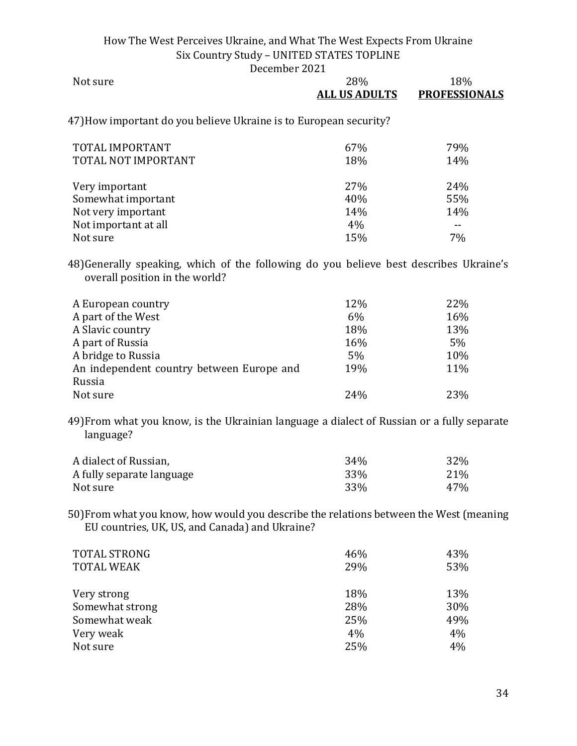December 2021

| Not sure                                                          | <b>28%</b><br><b>ALL US ADULTS</b> | 18%<br><b>PROFESSIONALS</b> |
|-------------------------------------------------------------------|------------------------------------|-----------------------------|
| 47) How important do you believe Ukraine is to European security? |                                    |                             |
| TOTAL IMPORTANT                                                   | 67%                                | 79%                         |
| TOTAL NOT IMPORTANT                                               | 18%                                | 14%                         |
|                                                                   | 270/                               | 200                         |

| Very important       | <b>27%</b>      | 24%   |
|----------------------|-----------------|-------|
| Somewhat important   | 40%             | 55%   |
| Not very important   | 14 <sub>%</sub> | 14%   |
| Not important at all | 4%              | $- -$ |
| Not sure             | 15%             | 7%    |

48)Generally speaking, which of the following do you believe best describes Ukraine's overall position in the world?

| A European country                        | 12% | 22%   |
|-------------------------------------------|-----|-------|
| A part of the West                        | 6%  | 16%   |
| A Slavic country                          | 18% | 13%   |
| A part of Russia                          | 16% | $5\%$ |
| A bridge to Russia                        | 5%  | 10%   |
| An independent country between Europe and | 19% | 11%   |
| Russia                                    |     |       |
| Not sure                                  | 24% | 23%   |

49)From what you know, is the Ukrainian language a dialect of Russian or a fully separate language?

| A dialect of Russian,     | 34 <sub>%</sub> | 32% |
|---------------------------|-----------------|-----|
| A fully separate language | 33%             | 21% |
| Not sure                  | 33%             | 47% |

50)From what you know, how would you describe the relations between the West (meaning EU countries, UK, US, and Canada) and Ukraine?

| <b>TOTAL STRONG</b><br><b>TOTAL WEAK</b> | 46%<br>29% | 43%<br>53% |
|------------------------------------------|------------|------------|
| Very strong                              | 18%        | 13%        |
| Somewhat strong                          | 28%        | 30%        |
| Somewhat weak                            | 25%        | 49%        |
| Very weak                                | 4%         | 4%         |
| Not sure                                 | 25%        | 4%         |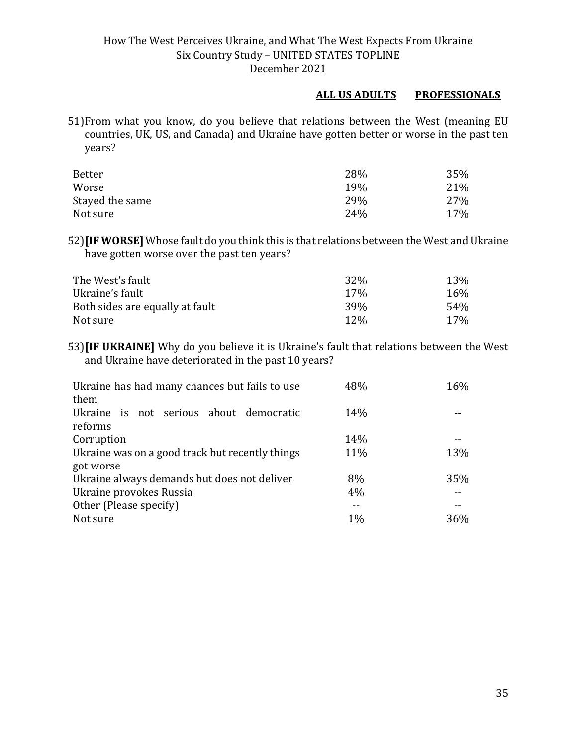#### **ALL US ADULTS PROFESSIONALS**

51)From what you know, do you believe that relations between the West (meaning EU countries, UK, US, and Canada) and Ukraine have gotten better or worse in the past ten years?

| <b>Better</b>   | 28% | 35% |
|-----------------|-----|-----|
| Worse           | 19% | 21% |
| Stayed the same | 29% | 27% |
| Not sure        | 24% | 17% |

52)**[IF WORSE]** Whose fault do you think this is that relations between the West and Ukraine have gotten worse over the past ten years?

| The West's fault                | 32 <sup>%</sup> | 13%             |
|---------------------------------|-----------------|-----------------|
| Ukraine's fault                 | 17 <sub>%</sub> | 16%             |
| Both sides are equally at fault | 39 <sub>%</sub> | 54%             |
| Not sure                        | <b>12%</b>      | 17 <sub>%</sub> |

53)**[IF UKRAINE]** Why do you believe it is Ukraine's fault that relations between the West and Ukraine have deteriorated in the past 10 years?

| Ukraine has had many chances but fails to use<br>them | 48% | 16% |
|-------------------------------------------------------|-----|-----|
| Ukraine is not serious about democratic<br>reforms    | 14% |     |
| Corruption                                            | 14% |     |
| Ukraine was on a good track but recently things       | 11% | 13% |
| got worse                                             |     |     |
| Ukraine always demands but does not deliver           | 8%  | 35% |
| Ukraine provokes Russia                               | 4%  |     |
| Other (Please specify)                                |     |     |
| Not sure                                              | 1%  | 36% |
|                                                       |     |     |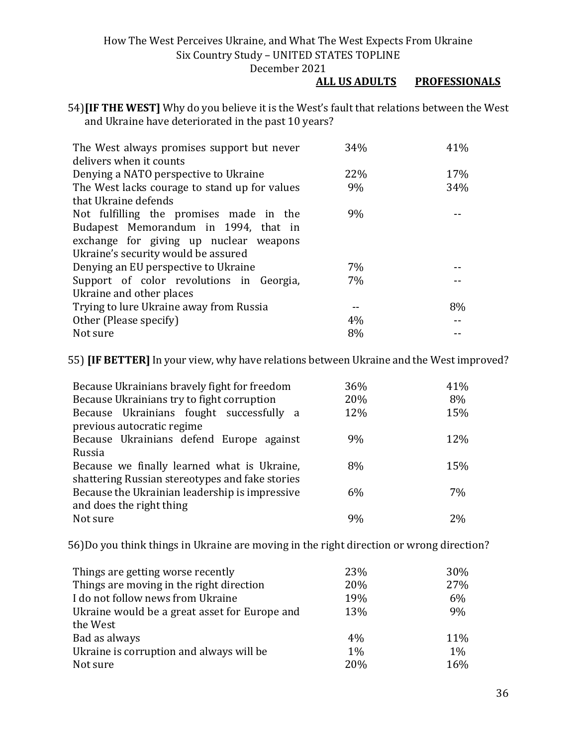December 2021

#### **ALL US ADULTS PROFESSIONALS**

54)**[IF THE WEST]** Why do you believe it is the West's fault that relations between the West and Ukraine have deteriorated in the past 10 years?

| The West always promises support but never    | 34% | 41% |
|-----------------------------------------------|-----|-----|
| delivers when it counts                       |     |     |
| Denying a NATO perspective to Ukraine         | 22% | 17% |
| The West lacks courage to stand up for values | 9%  | 34% |
| that Ukraine defends                          |     |     |
| Not fulfilling the promises made in the       | 9%  |     |
| Budapest Memorandum in 1994, that in          |     |     |
| exchange for giving up nuclear weapons        |     |     |
| Ukraine's security would be assured           |     |     |
| Denying an EU perspective to Ukraine          | 7%  |     |
| Support of color revolutions in Georgia,      | 7%  |     |
| Ukraine and other places                      |     |     |
| Trying to lure Ukraine away from Russia       |     | 8%  |
| Other (Please specify)                        | 4%  |     |
| Not sure                                      | 8%  |     |

55) **[IF BETTER]**In your view, why have relations between Ukraine and the West improved?

| Because Ukrainians bravely fight for freedom    | 36% | 41%  |
|-------------------------------------------------|-----|------|
| Because Ukrainians try to fight corruption      | 20% | 8%   |
| Because Ukrainians fought successfully a        | 12% | 15%  |
| previous autocratic regime                      |     |      |
| Because Ukrainians defend Europe against        | 9%  | 12\% |
| Russia                                          |     |      |
| Because we finally learned what is Ukraine,     | 8%  | 15%  |
| shattering Russian stereotypes and fake stories |     |      |
| Because the Ukrainian leadership is impressive  | 6%  | 7%   |
| and does the right thing                        |     |      |
| Not sure                                        | 9%  | 2%   |

56)Do you think things in Ukraine are moving in the right direction or wrong direction?

| Things are getting worse recently             | 23%   | 30%   |
|-----------------------------------------------|-------|-------|
| Things are moving in the right direction      | 20%   | 27%   |
| I do not follow news from Ukraine             | 19%   | 6%    |
| Ukraine would be a great asset for Europe and | 13%   | 9%    |
| the West                                      |       |       |
| Bad as always                                 | 4%    | 11%   |
| Ukraine is corruption and always will be      | $1\%$ | $1\%$ |
| Not sure                                      | 20%   | 16%   |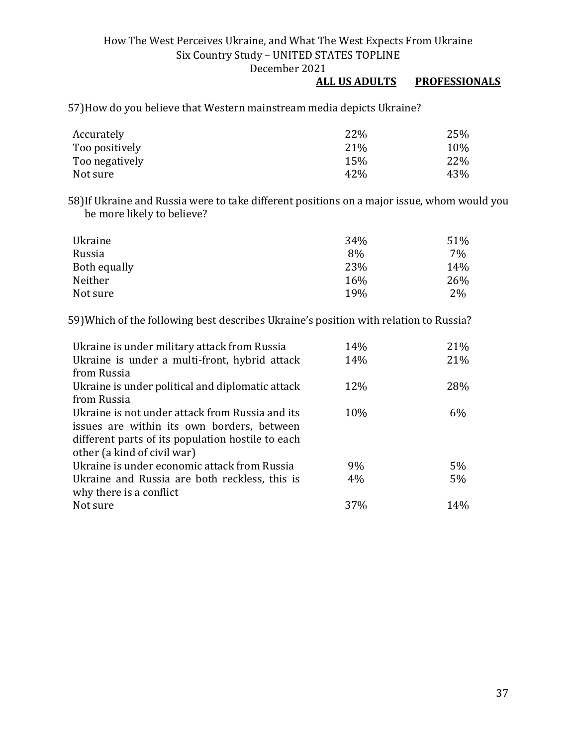## **ALL US ADULTS PROFESSIONALS**

57)How do you believe that Western mainstream media depicts Ukraine?

| Accurately     | 22%  | 25% |
|----------------|------|-----|
| Too positively | 21\% | 10% |
| Too negatively | 15%  | 22% |
| Not sure       | 42%  | 43% |

58)If Ukraine and Russia were to take different positions on a major issue, whom would you be more likely to believe?

| Ukraine      | 34% | 51%   |
|--------------|-----|-------|
| Russia       | 8%  | 7%    |
| Both equally | 23% | 14%   |
| Neither      | 16% | 26%   |
| Not sure     | 19% | $2\%$ |

59)Which of the following best describes Ukraine's position with relation to Russia?

| Ukraine is under military attack from Russia      | 14% | 21% |
|---------------------------------------------------|-----|-----|
| Ukraine is under a multi-front, hybrid attack     | 14% | 21% |
| from Russia                                       |     |     |
| Ukraine is under political and diplomatic attack  | 12% | 28% |
| from Russia                                       |     |     |
| Ukraine is not under attack from Russia and its   | 10% | 6%  |
| issues are within its own borders, between        |     |     |
| different parts of its population hostile to each |     |     |
| other (a kind of civil war)                       |     |     |
| Ukraine is under economic attack from Russia      | 9%  | 5%  |
| Ukraine and Russia are both reckless, this is     | 4%  | 5%  |
| why there is a conflict                           |     |     |
| Not sure                                          | 37% | 14% |
|                                                   |     |     |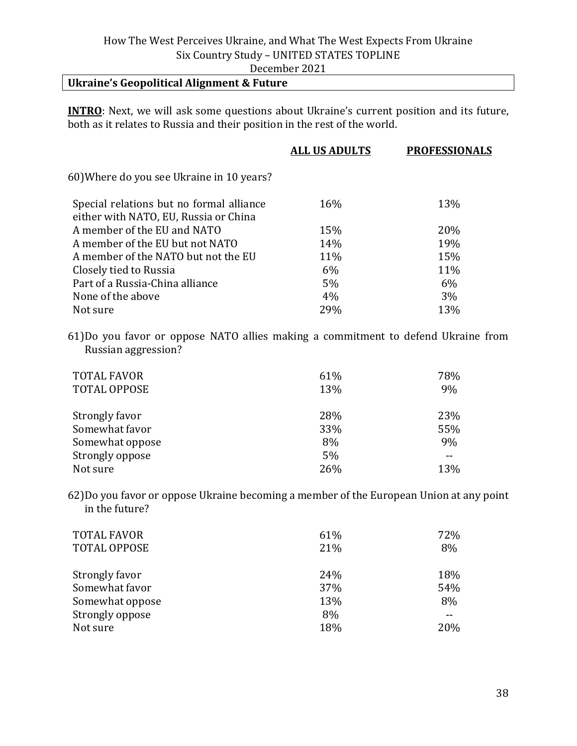# December 2021

# **Ukraine's Geopolitical Alignment & Future**

**INTRO**: Next, we will ask some questions about Ukraine's current position and its future, both as it relates to Russia and their position in the rest of the world.

| <b>ALL US ADULTS</b> | <b>PROFESSIONALS</b> |
|----------------------|----------------------|
|                      |                      |
| 16%                  | 13%                  |
| 15%                  | 20%                  |
| 14%                  | 19%                  |
| 11%                  | 15%                  |
| 6%                   | 11%                  |
| 5%                   | 6%                   |
| 4%                   | 3%                   |
| 29%                  | 13%                  |
|                      |                      |

61)Do you favor or oppose NATO allies making a commitment to defend Ukraine from Russian aggression?

| <b>TOTAL FAVOR</b><br><b>TOTAL OPPOSE</b> | 61%<br>13% | 78%<br>9% |
|-------------------------------------------|------------|-----------|
| Strongly favor                            | 28%        | 23%       |
| Somewhat favor                            | 33%        | 55%       |
| Somewhat oppose                           | 8%         | 9%        |
| Strongly oppose                           | 5%         | --        |
| Not sure                                  | 26%        | 13%       |

62)Do you favor or oppose Ukraine becoming a member of the European Union at any point in the future?

| <b>TOTAL FAVOR</b><br><b>TOTAL OPPOSE</b> | 61%<br>21% | 72%<br>8% |
|-------------------------------------------|------------|-----------|
| Strongly favor                            | 24%        | 18%       |
| Somewhat favor                            | 37%        | 54%       |
| Somewhat oppose                           | 13%        | 8%        |
| Strongly oppose                           | 8%         |           |
| Not sure                                  | 18%        | 20%       |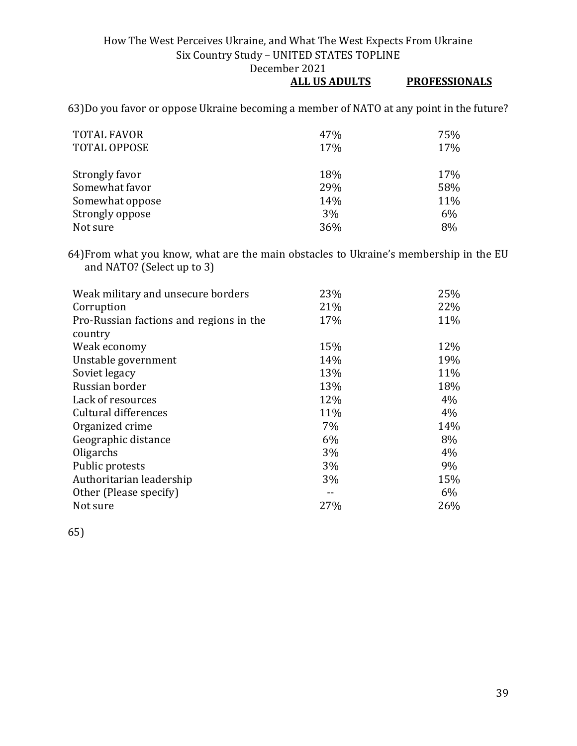# **ALL US ADULTS PROFESSIONALS**

63)Do you favor or oppose Ukraine becoming a member of NATO at any point in the future?

| <b>TOTAL FAVOR</b><br><b>TOTAL OPPOSE</b> | 47%<br>17% | 75%<br>17% |
|-------------------------------------------|------------|------------|
| Strongly favor                            | 18%        | 17%        |
| Somewhat favor                            | 29%        | 58%        |
| Somewhat oppose                           | 14%        | 11%        |
| Strongly oppose                           | 3%         | 6%         |
| Not sure                                  | 36%        | 8%         |

64)From what you know, what are the main obstacles to Ukraine's membership in the EU and NATO? (Select up to 3)

| Weak military and unsecure borders      | 23%   | 25% |
|-----------------------------------------|-------|-----|
| Corruption                              | 21%   | 22% |
| Pro-Russian factions and regions in the | 17%   | 11% |
| country                                 |       |     |
| Weak economy                            | 15%   | 12% |
| Unstable government                     | 14%   | 19% |
| Soviet legacy                           | 13%   | 11% |
| Russian border                          | 13%   | 18% |
| Lack of resources                       | 12%   | 4%  |
| Cultural differences                    | 11%   | 4%  |
| Organized crime                         | 7%    | 14% |
| Geographic distance                     | 6%    | 8%  |
| Oligarchs                               | $3\%$ | 4%  |
| Public protests                         | $3\%$ | 9%  |
| Authoritarian leadership                | $3\%$ | 15% |
| Other (Please specify)                  |       | 6%  |
| Not sure                                | 27%   | 26% |

65)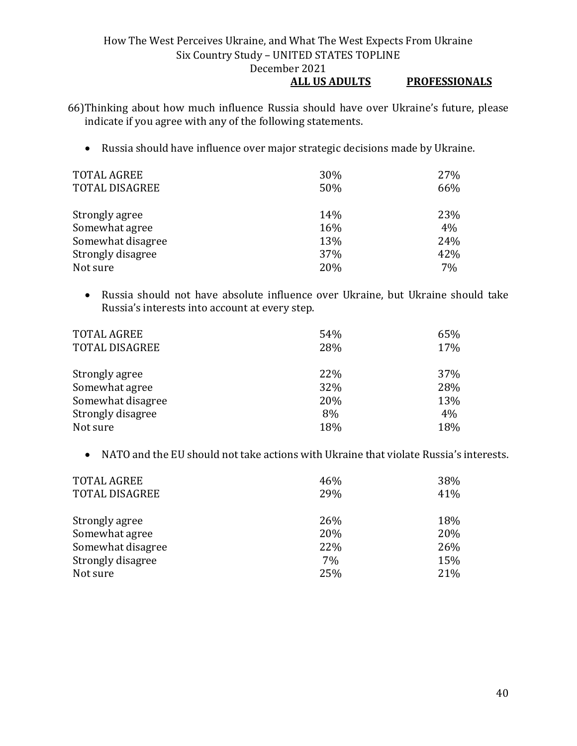#### How The West Perceives Ukraine, and What The West Expects From Ukraine Six Country Study – UNITED STATES TOPLINE December 2021 **ALL US ADULTS PROFESSIONALS**

66)Thinking about how much influence Russia should have over Ukraine's future, please indicate if you agree with any of the following statements.

• Russia should have influence over major strategic decisions made by Ukraine.

| <b>TOTAL AGREE</b>    | 30% | 27% |
|-----------------------|-----|-----|
| <b>TOTAL DISAGREE</b> | 50% | 66% |
|                       |     |     |
| Strongly agree        | 14% | 23% |
| Somewhat agree        | 16% | 4%  |
| Somewhat disagree     | 13% | 24% |
| Strongly disagree     | 37% | 42% |
| Not sure              | 20% | 7%  |

• Russia should not have absolute influence over Ukraine, but Ukraine should take Russia's interests into account at every step.

| <b>TOTAL AGREE</b><br><b>TOTAL DISAGREE</b> | 54%<br>28% | 65%<br>17% |
|---------------------------------------------|------------|------------|
| Strongly agree                              | 22%        | 37%        |
| Somewhat agree                              | 32%        | 28%        |
| Somewhat disagree                           | 20%        | 13%        |
| Strongly disagree                           | 8%         | 4%         |
| Not sure                                    | 18%        | 18%        |

• NATO and the EU should not take actions with Ukraine that violate Russia's interests.

| <b>TOTAL AGREE</b>    | 46% | 38% |
|-----------------------|-----|-----|
| <b>TOTAL DISAGREE</b> | 29% | 41% |
|                       |     |     |
| Strongly agree        | 26% | 18% |
| Somewhat agree        | 20% | 20% |
| Somewhat disagree     | 22% | 26% |
| Strongly disagree     | 7%  | 15% |
| Not sure              | 25% | 21% |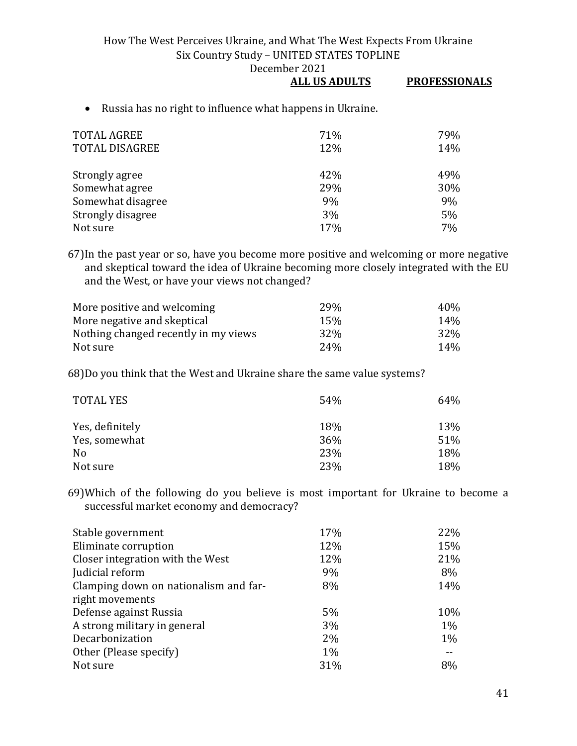**ALL US ADULTS PROFESSIONALS**

| • Russia has no right to influence what happens in Ukraine. |
|-------------------------------------------------------------|

| <b>TOTAL AGREE</b><br><b>TOTAL DISAGREE</b> | 71%<br>12% | 79%<br>14% |
|---------------------------------------------|------------|------------|
| Strongly agree                              | 42%        | 49%        |
| Somewhat agree                              | 29%        | 30%        |
| Somewhat disagree                           | 9%         | 9%         |
| Strongly disagree                           | 3%         | 5%         |
| Not sure                                    | 17%        | 7%         |

67)In the past year or so, have you become more positive and welcoming or more negative and skeptical toward the idea of Ukraine becoming more closely integrated with the EU and the West, or have your views not changed?

| More positive and welcoming          | 29 <sub>%</sub> | 40 <sub>%</sub> |
|--------------------------------------|-----------------|-----------------|
| More negative and skeptical          | 15%             | 14%             |
| Nothing changed recently in my views | 32 <sup>%</sup> | 32%             |
| Not sure                             | 24%             | $14\%$          |

68)Do you think that the West and Ukraine share the same value systems?

| <b>TOTAL YES</b> | 54% | 64% |
|------------------|-----|-----|
| Yes, definitely  | 18% | 13% |
| Yes, somewhat    | 36% | 51% |
| N <sub>0</sub>   | 23% | 18% |
| Not sure         | 23% | 18% |

69)Which of the following do you believe is most important for Ukraine to become a successful market economy and democracy?

| Stable government                     | 17%   | 22%   |
|---------------------------------------|-------|-------|
| Eliminate corruption                  | 12%   | 15%   |
| Closer integration with the West      | 12%   | 21%   |
| Judicial reform                       | 9%    | 8%    |
| Clamping down on nationalism and far- | 8%    | 14%   |
| right movements                       |       |       |
| Defense against Russia                | 5%    | 10%   |
| A strong military in general          | 3%    | $1\%$ |
| Decarbonization                       | $2\%$ | $1\%$ |
| Other (Please specify)                | $1\%$ |       |
| Not sure                              | 31%   | 8%    |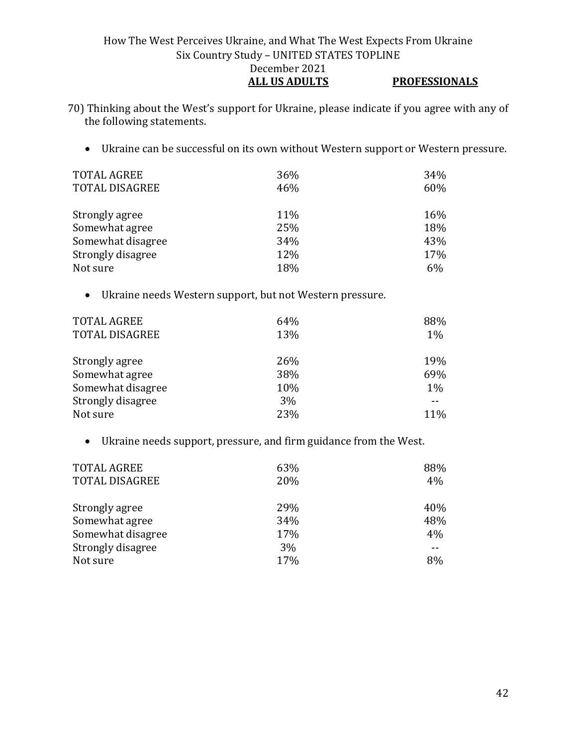#### How The West Perceives Ukraine, and What The West Expects From Ukraine Six Country Study – UNITED STATES TOPLINE December 2021 **ALL US ADULTS PROFESSIONALS**

- 70) Thinking about the West's support for Ukraine, please indicate if you agree with any of the following statements.
	- Ukraine can be successful on its own without Western support or Western pressure.

| <b>TOTAL AGREE</b>    | 36% | 34% |
|-----------------------|-----|-----|
| <b>TOTAL DISAGREE</b> | 46% | 60% |
|                       |     |     |
| Strongly agree        | 11% | 16% |
| Somewhat agree        | 25% | 18% |
| Somewhat disagree     | 34% | 43% |
| Strongly disagree     | 12% | 17% |
| Not sure              | 18% | 6%  |

• Ukraine needs Western support, but not Western pressure.

| <b>TOTAL AGREE</b><br><b>TOTAL DISAGREE</b> | 64%<br>13% | 88%<br>$1\%$ |
|---------------------------------------------|------------|--------------|
| Strongly agree                              | 26%        | 19%          |
| Somewhat agree                              | 38%        | 69%          |
| Somewhat disagree                           | 10%        | $1\%$        |
| Strongly disagree                           | 3%         |              |
| Not sure                                    | 23%        | 11%          |

• Ukraine needs support, pressure, and firm guidance from the West.

| <b>TOTAL AGREE</b><br><b>TOTAL DISAGREE</b> | 63%<br>20% | 88%<br>4% |
|---------------------------------------------|------------|-----------|
| Strongly agree                              | 29%        | 40%       |
| Somewhat agree                              | 34%        | 48%       |
| Somewhat disagree                           | 17%        | 4%        |
| Strongly disagree                           | 3%         |           |
| Not sure                                    | 17%        | 8%        |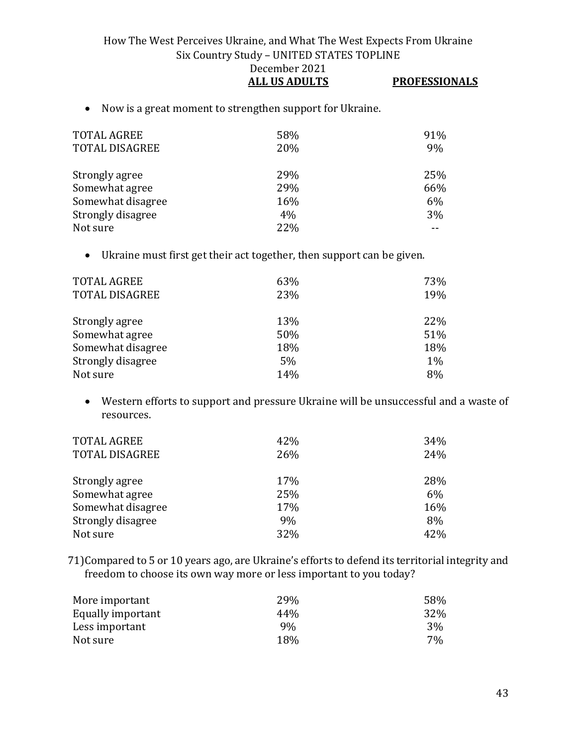How The West Perceives Ukraine, and What The West Expects From Ukraine Six Country Study – UNITED STATES TOPLINE December 2021 **ALL US ADULTS PROFESSIONALS**

• Now is a great moment to strengthen support for Ukraine.

| <b>TOTAL AGREE</b><br><b>TOTAL DISAGREE</b> | 58%<br>20% | 91%<br>9% |
|---------------------------------------------|------------|-----------|
| Strongly agree                              | 29%        | 25%       |
| Somewhat agree                              | 29%        | 66%       |
| Somewhat disagree                           | 16%        | 6%        |
| Strongly disagree                           | 4%         | $3\%$     |
| Not sure                                    | 22%        |           |

• Ukraine must first get their act together, then support can be given.

| TOTAL AGREE           | 63% | 73%   |
|-----------------------|-----|-------|
| <b>TOTAL DISAGREE</b> | 23% | 19%   |
|                       |     |       |
| Strongly agree        | 13% | 22\%  |
| Somewhat agree        | 50% | 51%   |
| Somewhat disagree     | 18% | 18%   |
| Strongly disagree     | 5%  | $1\%$ |
| Not sure              | 14% | 8%    |

• Western efforts to support and pressure Ukraine will be unsuccessful and a waste of resources.

| <b>TOTAL AGREE</b><br><b>TOTAL DISAGREE</b> | 42%<br>26% | 34%<br>24% |
|---------------------------------------------|------------|------------|
| Strongly agree                              | 17%        | 28%        |
| Somewhat agree                              | 25%        | 6%         |
| Somewhat disagree                           | 17%        | 16%        |
| Strongly disagree                           | 9%         | 8%         |
| Not sure                                    | 32%        | 42%        |

71)Compared to 5 or 10 years ago, are Ukraine's efforts to defend its territorial integrity and freedom to choose its own way more or less important to you today?

| More important    | 29% | 58% |
|-------------------|-----|-----|
| Equally important | 44% | 32% |
| Less important    | 9%  | 3%  |
| Not sure          | 18% | 7%  |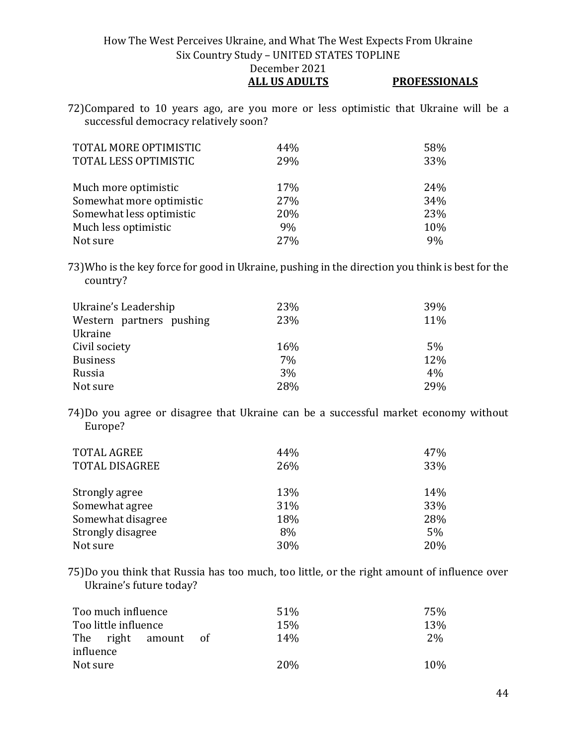**ALL US ADULTS PROFESSIONALS**

72)Compared to 10 years ago, are you more or less optimistic that Ukraine will be a successful democracy relatively soon?

| TOTAL MORE OPTIMISTIC    | 44% | 58% |
|--------------------------|-----|-----|
| TOTAL LESS OPTIMISTIC    | 29% | 33% |
|                          |     |     |
| Much more optimistic     | 17% | 24% |
| Somewhat more optimistic | 27% | 34% |
| Somewhat less optimistic | 20% | 23% |
| Much less optimistic     | 9%  | 10% |
| Not sure                 | 27% | 9%  |

73)Who is the key force for good in Ukraine, pushing in the direction you think is best for the country?

| Ukraine's Leadership     | 23% | 39% |
|--------------------------|-----|-----|
| Western partners pushing | 23% | 11% |
| Ukraine                  |     |     |
| Civil society            | 16% | 5%  |
| <b>Business</b>          | 7%  | 12% |
| Russia                   | 3%  | 4%  |
| Not sure                 | 28% | 29% |

74)Do you agree or disagree that Ukraine can be a successful market economy without Europe?

| <b>TOTAL AGREE</b><br><b>TOTAL DISAGREE</b> | 44%<br>26% | 47%<br>33% |
|---------------------------------------------|------------|------------|
| Strongly agree                              | 13%        | 14%        |
| Somewhat agree                              | 31%        | 33%        |
| Somewhat disagree                           | 18%        | 28%        |
| Strongly disagree                           | 8%         | 5%         |
| Not sure                                    | 30%        | 20%        |

75)Do you think that Russia has too much, too little, or the right amount of influence over Ukraine's future today?

| Too much influence   | 51%         | 75% |
|----------------------|-------------|-----|
| Too little influence | 15%         | 13% |
| The right amount     | 14%<br>- of | 2%  |
| influence            |             |     |
| Not sure             | 20\%        | 10% |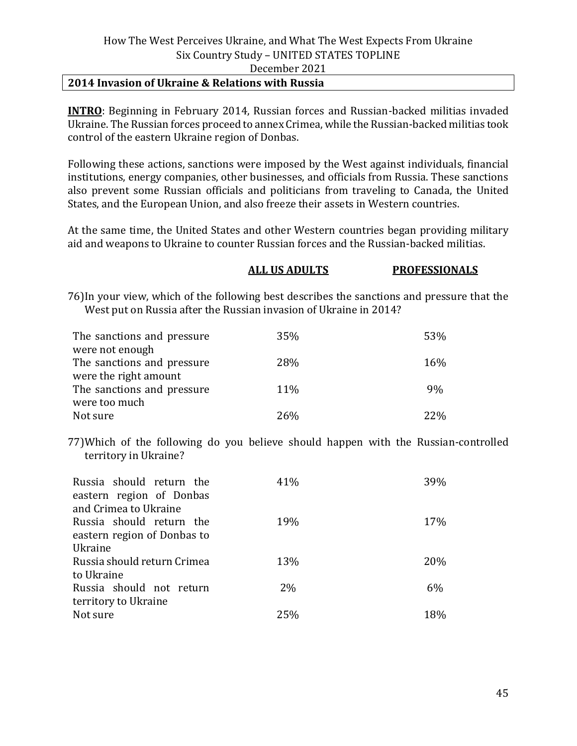#### **2014 Invasion of Ukraine & Relations with Russia**

**INTRO**: Beginning in February 2014, Russian forces and Russian-backed militias invaded Ukraine. The Russian forces proceed to annex Crimea, while the Russian-backed militias took control of the eastern Ukraine region of Donbas.

Following these actions, sanctions were imposed by the West against individuals, financial institutions, energy companies, other businesses, and officials from Russia. These sanctions also prevent some Russian officials and politicians from traveling to Canada, the United States, and the European Union, and also freeze their assets in Western countries.

At the same time, the United States and other Western countries began providing military aid and weapons to Ukraine to counter Russian forces and the Russian-backed militias.

# **ALL US ADULTS PROFESSIONALS**

76)In your view, which of the following best describes the sanctions and pressure that the West put on Russia after the Russian invasion of Ukraine in 2014?

| The sanctions and pressure | 35% | 53% |
|----------------------------|-----|-----|
| were not enough            |     |     |
| The sanctions and pressure | 28% | 16% |
| were the right amount      |     |     |
| The sanctions and pressure | 11% | 9%  |
| were too much              |     |     |
| Not sure                   | 26% | 22% |

77)Which of the following do you believe should happen with the Russian-controlled territory in Ukraine?

| Russia should return the<br>eastern region of Donbas | 41%   | 39% |
|------------------------------------------------------|-------|-----|
| and Crimea to Ukraine                                |       |     |
| Russia should return the                             | 19%   | 17% |
| eastern region of Donbas to                          |       |     |
| Ukraine                                              |       |     |
| Russia should return Crimea                          | 13%   | 20% |
| to Ukraine                                           |       |     |
| Russia should not return                             | $2\%$ | 6%  |
| territory to Ukraine                                 |       |     |
| Not sure                                             | 25%   | 18% |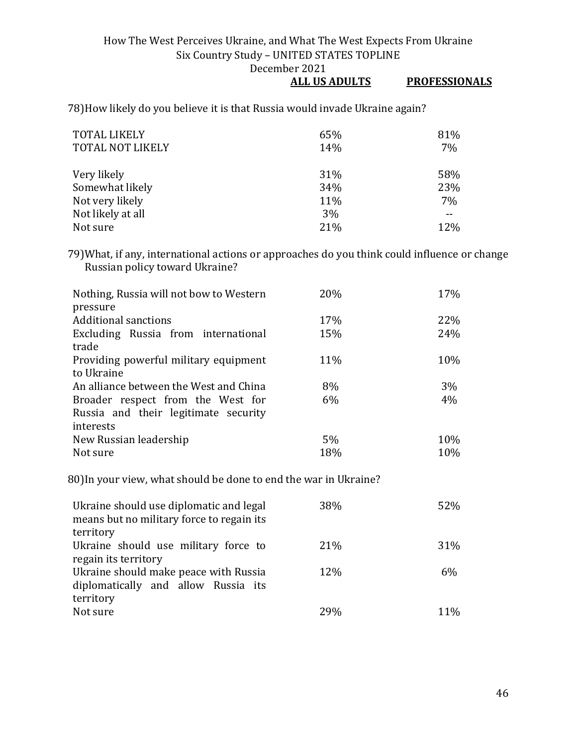# **ALL US ADULTS PROFESSIONALS**

78)How likely do you believe it is that Russia would invade Ukraine again?

| <b>TOTAL LIKELY</b><br><b>TOTAL NOT LIKELY</b> | 65%<br>14% | 81%<br>7% |
|------------------------------------------------|------------|-----------|
| Very likely                                    | 31%        | 58%       |
| Somewhat likely                                | 34%        | 23%       |
| Not very likely                                | 11%        | 7%        |
| Not likely at all                              | 3%         |           |
| Not sure                                       | 21%        | 12%       |

79)What, if any, international actions or approaches do you think could influence or change Russian policy toward Ukraine?

| Nothing, Russia will not bow to Western | 20% | 17%  |
|-----------------------------------------|-----|------|
| pressure                                |     |      |
| <b>Additional sanctions</b>             | 17% | 22\% |
| Excluding Russia from international     | 15% | 24%  |
| trade                                   |     |      |
| Providing powerful military equipment   | 11% | 10%  |
| to Ukraine                              |     |      |
| An alliance between the West and China  | 8%  | 3%   |
| Broader respect from the West for       | 6%  | 4%   |
| Russia and their legitimate security    |     |      |
| interests                               |     |      |
| New Russian leadership                  | 5%  | 10%  |
| Not sure                                | 18% | 10%  |

80)In your view, what should be done to end the war in Ukraine?

| Ukraine should use diplomatic and legal<br>means but no military force to regain its<br>territory | 38%  | 52%   |
|---------------------------------------------------------------------------------------------------|------|-------|
|                                                                                                   |      |       |
| Ukraine should use military force to                                                              | 21\% | 31%   |
| regain its territory                                                                              |      |       |
| Ukraine should make peace with Russia                                                             | 12%  | $6\%$ |
| diplomatically and allow Russia its                                                               |      |       |
| territory                                                                                         |      |       |
| Not sure                                                                                          | 29%  | 11%   |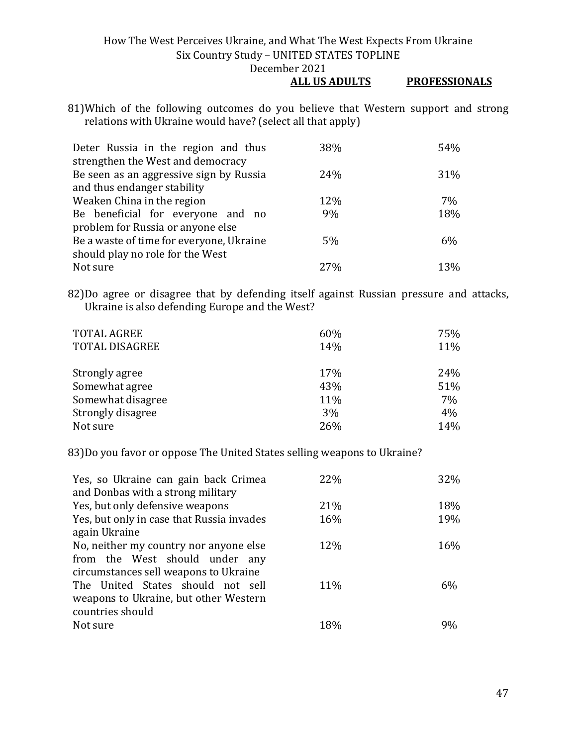- **ALL US ADULTS PROFESSIONALS**
- 81)Which of the following outcomes do you believe that Western support and strong relations with Ukraine would have? (select all that apply)

| Deter Russia in the region and thus      | 38% | 54% |
|------------------------------------------|-----|-----|
| strengthen the West and democracy        |     |     |
| Be seen as an aggressive sign by Russia  | 24% | 31% |
| and thus endanger stability              |     |     |
| Weaken China in the region               | 12% | 7%  |
| Be beneficial for everyone and no        | 9%  | 18% |
| problem for Russia or anyone else        |     |     |
| Be a waste of time for everyone, Ukraine | 5%  | 6%  |
| should play no role for the West         |     |     |
| Not sure                                 | 27% | 13% |

82)Do agree or disagree that by defending itself against Russian pressure and attacks, Ukraine is also defending Europe and the West?

| <b>TOTAL AGREE</b><br><b>TOTAL DISAGREE</b> | 60%<br>14% | 75%<br>11% |
|---------------------------------------------|------------|------------|
| Strongly agree                              | 17%        | 24%        |
| Somewhat agree                              | 43%        | 51%        |
| Somewhat disagree                           | 11%        | 7%         |
| Strongly disagree                           | 3%         | 4%         |
| Not sure                                    | 26%        | 14%        |

83)Do you favor or oppose The United States selling weapons to Ukraine?

| Yes, so Ukraine can gain back Crimea      | 22% | 32%   |
|-------------------------------------------|-----|-------|
| and Donbas with a strong military         |     |       |
| Yes, but only defensive weapons           | 21% | 18%   |
| Yes, but only in case that Russia invades | 16% | 19%   |
| again Ukraine                             |     |       |
| No, neither my country nor anyone else    | 12% | 16%   |
| from the West should under any            |     |       |
| circumstances sell weapons to Ukraine     |     |       |
| The United States should not sell         | 11% | $6\%$ |
| weapons to Ukraine, but other Western     |     |       |
| countries should                          |     |       |
| Not sure                                  | 18% | 9%    |
|                                           |     |       |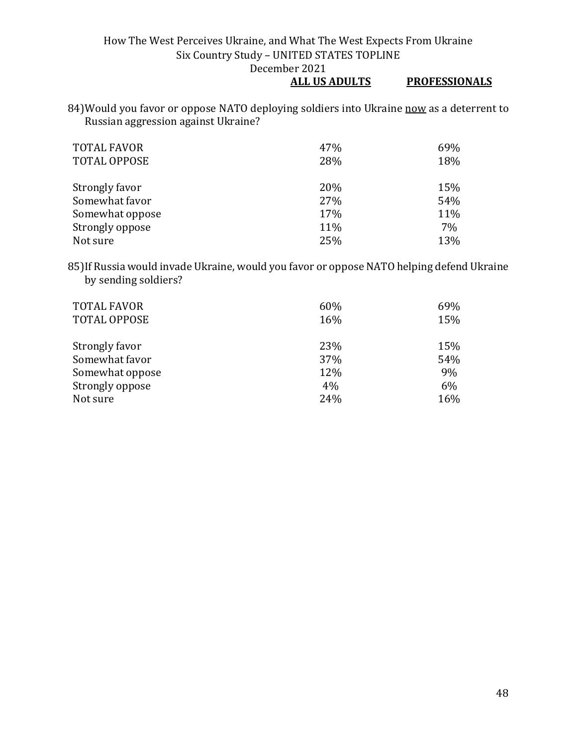## **ALL US ADULTS PROFESSIONALS**

84) Would you favor or oppose NATO deploying soldiers into Ukraine now as a deterrent to Russian aggression against Ukraine?

| <b>TOTAL FAVOR</b>  | 47% | 69% |
|---------------------|-----|-----|
| <b>TOTAL OPPOSE</b> | 28% | 18% |
|                     |     |     |
| Strongly favor      | 20% | 15% |
| Somewhat favor      | 27% | 54% |
| Somewhat oppose     | 17% | 11% |
| Strongly oppose     | 11% | 7%  |
| Not sure            | 25% | 13% |

85)If Russia would invade Ukraine, would you favor or oppose NATO helping defend Ukraine by sending soldiers?

| <b>TOTAL FAVOR</b><br><b>TOTAL OPPOSE</b> | 60%<br>16% | 69%<br>15% |
|-------------------------------------------|------------|------------|
| Strongly favor                            | 23%        | 15%        |
| Somewhat favor                            | 37%        | 54%        |
| Somewhat oppose                           | 12%        | 9%         |
| Strongly oppose                           | 4%         | 6%         |
| Not sure                                  | 24%        | 16%        |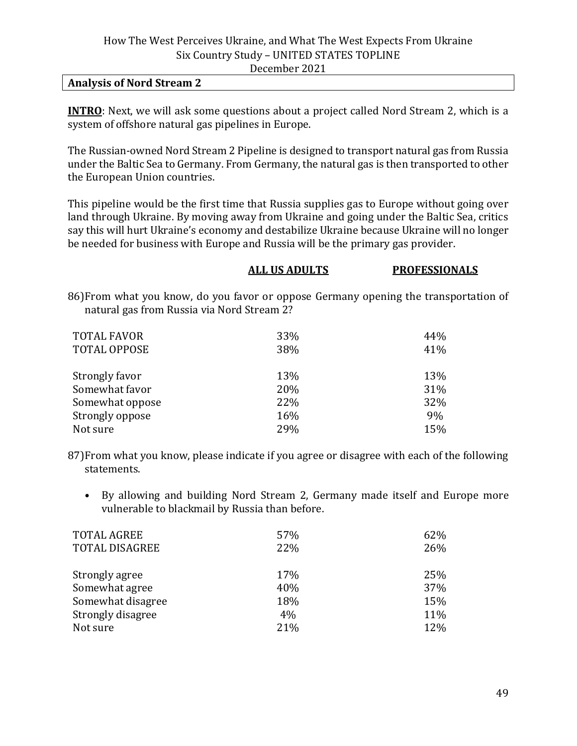#### **Analysis of Nord Stream 2**

**INTRO**: Next, we will ask some questions about a project called Nord Stream 2, which is a system of offshore natural gas pipelines in Europe.

The Russian-owned Nord Stream 2 Pipeline is designed to transport natural gas from Russia under the Baltic Sea to Germany. From Germany, the natural gas is then transported to other the European Union countries.

This pipeline would be the first time that Russia supplies gas to Europe without going over land through Ukraine. By moving away from Ukraine and going under the Baltic Sea, critics say this will hurt Ukraine's economy and destabilize Ukraine because Ukraine will no longer be needed for business with Europe and Russia will be the primary gas provider.

#### **ALL US ADULTS PROFESSIONALS**

86)From what you know, do you favor or oppose Germany opening the transportation of natural gas from Russia via Nord Stream 2?

| <b>TOTAL FAVOR</b>  | 33% | 44% |
|---------------------|-----|-----|
| <b>TOTAL OPPOSE</b> | 38% | 41% |
| Strongly favor      | 13% | 13% |
| Somewhat favor      | 20% | 31% |
| Somewhat oppose     | 22% | 32% |
| Strongly oppose     | 16% | 9%  |
| Not sure            | 29% | 15% |

87)From what you know, please indicate if you agree or disagree with each of the following statements.

• By allowing and building Nord Stream 2, Germany made itself and Europe more vulnerable to blackmail by Russia than before.

| 62% |
|-----|
| 26% |
| 25% |
| 37% |
| 15% |
| 11% |
| 12% |
|     |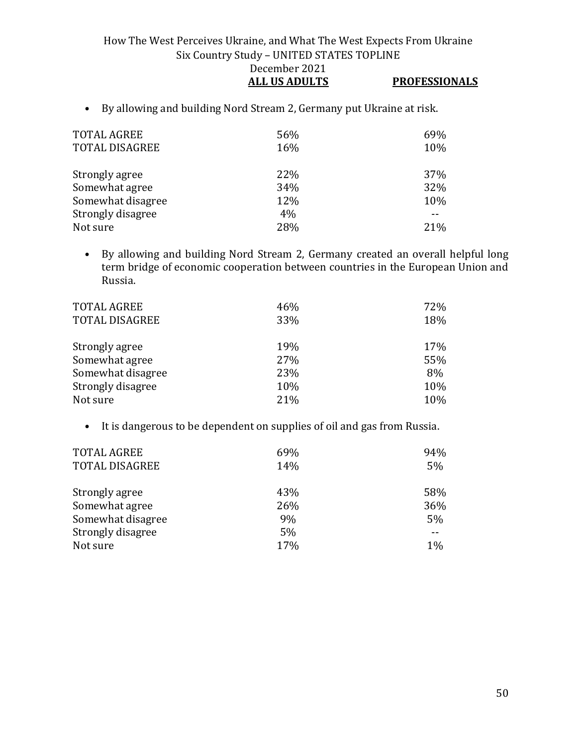How The West Perceives Ukraine, and What The West Expects From Ukraine Six Country Study – UNITED STATES TOPLINE December 2021 **ALL US ADULTS PROFESSIONALS**

• By allowing and building Nord Stream 2, Germany put Ukraine at risk.

| <b>TOTAL AGREE</b><br><b>TOTAL DISAGREE</b> | 56%<br>16% | 69%<br>10% |
|---------------------------------------------|------------|------------|
| Strongly agree                              | 22%        | <b>37%</b> |
| Somewhat agree                              | 34%        | 32%        |
| Somewhat disagree                           | 12%        | 10%        |
| Strongly disagree                           | 4%         |            |
| Not sure                                    | 28%        | 21%        |

• By allowing and building Nord Stream 2, Germany created an overall helpful long term bridge of economic cooperation between countries in the European Union and Russia.

| <b>TOTAL AGREE</b>    | 46% | 72% |
|-----------------------|-----|-----|
| <b>TOTAL DISAGREE</b> | 33% | 18% |
| Strongly agree        | 19% | 17% |
| Somewhat agree        | 27% | 55% |
| Somewhat disagree     | 23% | 8%  |
| Strongly disagree     | 10% | 10% |
| Not sure              | 21% | 10% |

• It is dangerous to be dependent on supplies of oil and gas from Russia.

| <b>TOTAL AGREE</b>    | 69% | 94%   |
|-----------------------|-----|-------|
| <b>TOTAL DISAGREE</b> | 14% | 5%    |
|                       |     |       |
| Strongly agree        | 43% | 58%   |
| Somewhat agree        | 26% | 36%   |
| Somewhat disagree     | 9%  | 5%    |
| Strongly disagree     | 5%  | --    |
| Not sure              | 17% | $1\%$ |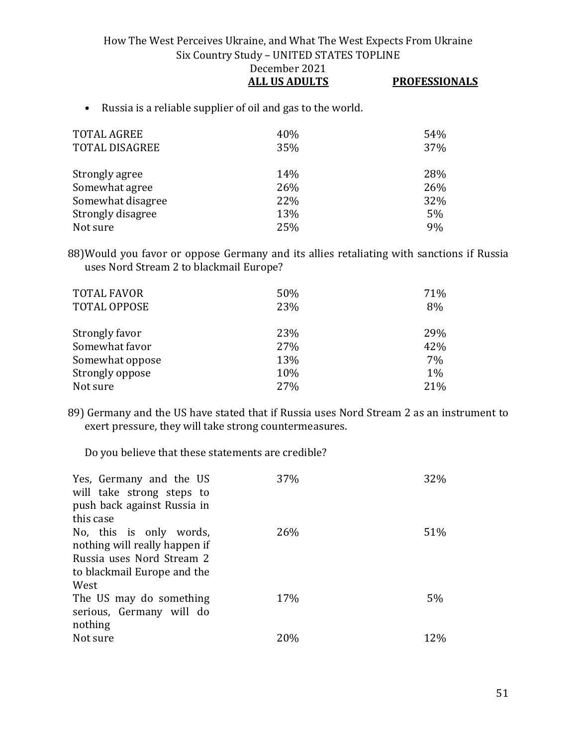| DECEMBEL 2021        |                      |
|----------------------|----------------------|
| <b>ALL US ADULTS</b> | <b>PROFESSIONALS</b> |

• Russia is a reliable supplier of oil and gas to the world.

| <b>TOTAL AGREE</b>    | 40% | 54% |
|-----------------------|-----|-----|
| <b>TOTAL DISAGREE</b> | 35% | 37% |
|                       |     |     |
| Strongly agree        | 14% | 28% |
| Somewhat agree        | 26% | 26% |
| Somewhat disagree     | 22% | 32% |
| Strongly disagree     | 13% | 5%  |
| Not sure              | 25% | 9%  |

88)Would you favor or oppose Germany and its allies retaliating with sanctions if Russia uses Nord Stream 2 to blackmail Europe?

| <b>TOTAL FAVOR</b>  | 50% | 71%   |
|---------------------|-----|-------|
| <b>TOTAL OPPOSE</b> | 23% | 8%    |
|                     |     |       |
| Strongly favor      | 23% | 29%   |
| Somewhat favor      | 27% | 42%   |
| Somewhat oppose     | 13% | 7%    |
| Strongly oppose     | 10% | $1\%$ |
| Not sure            | 27% | 21%   |

89) Germany and the US have stated that if Russia uses Nord Stream 2 as an instrument to exert pressure, they will take strong countermeasures.

Do you believe that these statements are credible?

| Yes, Germany and the US<br>will take strong steps to | 37% | 32% |
|------------------------------------------------------|-----|-----|
| push back against Russia in                          |     |     |
| this case                                            |     |     |
| No, this is only words,                              | 26% | 51% |
| nothing will really happen if                        |     |     |
| Russia uses Nord Stream 2                            |     |     |
| to blackmail Europe and the                          |     |     |
| West                                                 |     |     |
| The US may do something                              | 17% | 5%  |
| serious, Germany will do                             |     |     |
| nothing                                              |     |     |
| Not sure                                             | 20% | 12% |
|                                                      |     |     |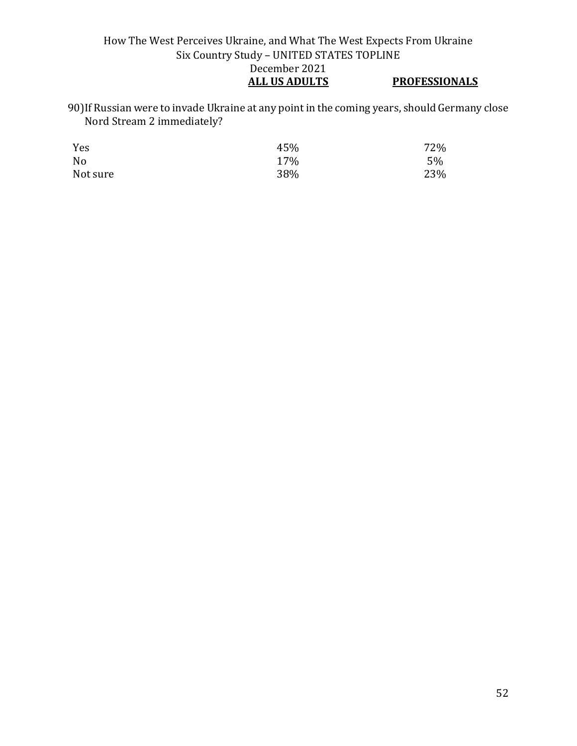## How The West Perceives Ukraine, and What The West Expects From Ukraine Six Country Study – UNITED STATES TOPLINE December 2021<br>ALL US ADULTS **PROFESSIONALS**

90)If Russian were to invade Ukraine at any point in the coming years, should Germany close Nord Stream 2 immediately?

| Yes            | 45% | 72% |
|----------------|-----|-----|
| N <sub>0</sub> | 17% | 5%  |
| Not sure       | 38% | 23% |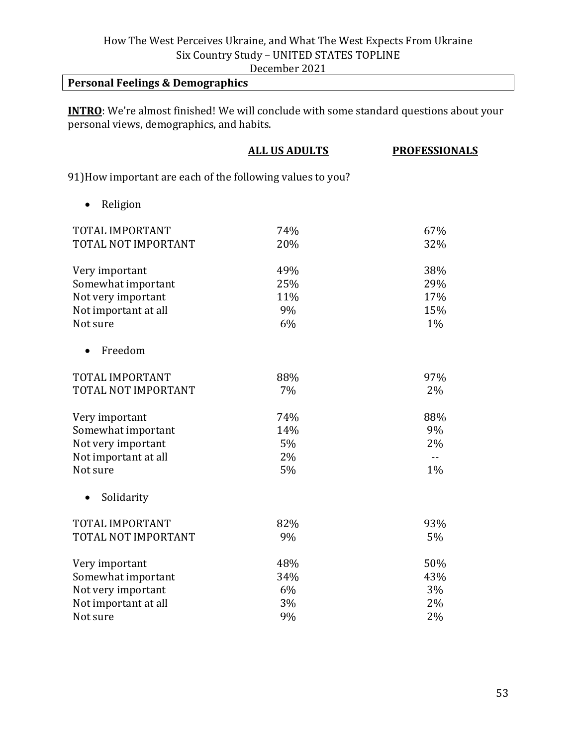December 2021

# **Personal Feelings & Demographics**

**INTRO**: We're almost finished! We will conclude with some standard questions about your personal views, demographics, and habits.

|                                                            | <b>ALL US ADULTS</b> | <b>PROFESSIONALS</b> |
|------------------------------------------------------------|----------------------|----------------------|
| 91) How important are each of the following values to you? |                      |                      |
| Religion<br>$\bullet$                                      |                      |                      |
| TOTAL IMPORTANT                                            | 74%                  | 67%                  |
| TOTAL NOT IMPORTANT                                        | 20%                  | 32%                  |
| Very important                                             | 49%                  | 38%                  |
| Somewhat important                                         | 25%                  | 29%                  |
| Not very important                                         | 11%                  | 17%                  |
| Not important at all                                       | 9%                   | 15%                  |
| Not sure                                                   | 6%                   | $1\%$                |
| Freedom                                                    |                      |                      |
| TOTAL IMPORTANT                                            | 88%                  | 97%                  |
| TOTAL NOT IMPORTANT                                        | 7%                   | 2%                   |
| Very important                                             | 74%                  | 88%                  |
| Somewhat important                                         | 14%                  | 9%                   |
| Not very important                                         | 5%                   | 2%                   |
| Not important at all                                       | 2%                   | $\sim$ $-$           |
| Not sure                                                   | 5%                   | 1%                   |
| Solidarity                                                 |                      |                      |
| TOTAL IMPORTANT                                            | 82%                  | 93%                  |
| TOTAL NOT IMPORTANT                                        | 9%                   | 5%                   |
| Very important                                             | 48%                  | 50%                  |
| Somewhat important                                         | 34%                  | 43%                  |
| Not very important                                         | 6%                   | 3%                   |
| Not important at all                                       | 3%                   | 2%                   |
| Not sure                                                   | 9%                   | 2%                   |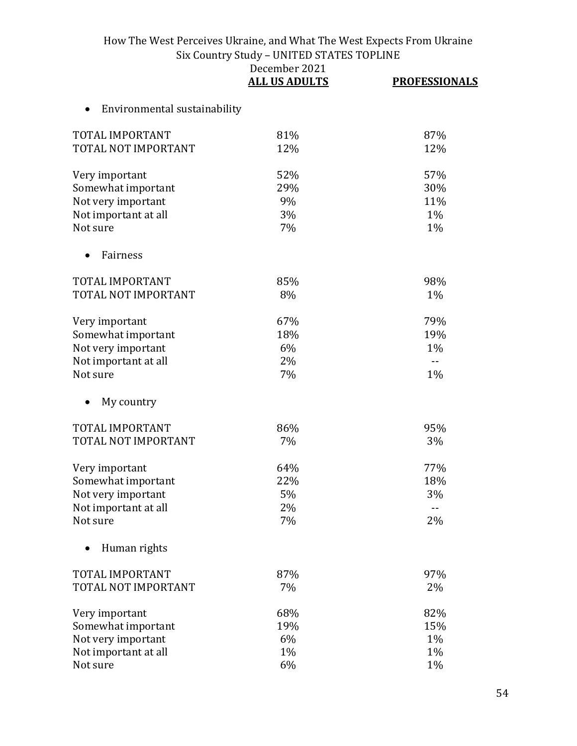|                              | December 2021<br><b>ALL US ADULTS</b> | <b>PROFESSIONALS</b> |
|------------------------------|---------------------------------------|----------------------|
| Environmental sustainability |                                       |                      |
| TOTAL IMPORTANT              | 81%                                   | 87%                  |
| TOTAL NOT IMPORTANT          | 12%                                   | 12%                  |
| Very important               | 52%                                   | 57%                  |
| Somewhat important           | 29%                                   | 30%                  |
| Not very important           | 9%                                    | 11%                  |
| Not important at all         | 3%                                    | $1\%$                |
| Not sure                     | 7%                                    | 1%                   |
| Fairness                     |                                       |                      |
| TOTAL IMPORTANT              | 85%                                   | 98%                  |
| TOTAL NOT IMPORTANT          | 8%                                    | 1%                   |
| Very important               | 67%                                   | 79%                  |
| Somewhat important           | 18%                                   | 19%                  |
| Not very important           | 6%                                    | 1%                   |
| Not important at all         | 2%                                    | $-$                  |
| Not sure                     | 7%                                    | $1\%$                |
| My country                   |                                       |                      |
| TOTAL IMPORTANT              | 86%                                   | 95%                  |
| TOTAL NOT IMPORTANT          | 7%                                    | 3%                   |
| Very important               | 64%                                   | 77%                  |
| Somewhat important           | 22%                                   | 18%                  |
| Not very important           | 5%                                    | 3%                   |
| Not important at all         | 2%                                    | $\overline{a}$       |
| Not sure                     | 7%                                    | 2%                   |
| Human rights                 |                                       |                      |
| <b>TOTAL IMPORTANT</b>       | 87%                                   | 97%                  |
| TOTAL NOT IMPORTANT          | 7%                                    | 2%                   |
| Very important               | 68%                                   | 82%                  |
| Somewhat important           | 19%                                   | 15%                  |
| Not very important           | 6%                                    | 1%                   |
| Not important at all         | $1\%$                                 | 1%                   |
| Not sure                     | 6%                                    | 1%                   |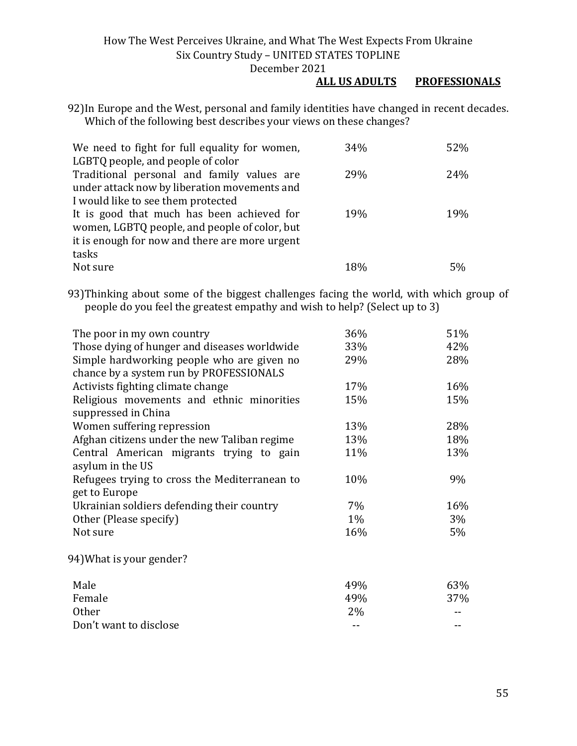#### **ALL US ADULTS PROFESSIONALS**

92)In Europe and the West, personal and family identities have changed in recent decades. Which of the following best describes your views on these changes?

| We need to fight for full equality for women,  | 34% | 52% |
|------------------------------------------------|-----|-----|
| LGBTQ people, and people of color              |     |     |
| Traditional personal and family values are     | 29% | 24% |
| under attack now by liberation movements and   |     |     |
| I would like to see them protected             |     |     |
| It is good that much has been achieved for     | 19% | 19% |
| women, LGBTQ people, and people of color, but  |     |     |
| it is enough for now and there are more urgent |     |     |
| tasks                                          |     |     |
| Not sure                                       | 18% | 5%  |

93)Thinking about some of the biggest challenges facing the world, with which group of people do you feel the greatest empathy and wish to help? (Select up to 3)

| The poor in my own country                    | 36%   | 51% |
|-----------------------------------------------|-------|-----|
| Those dying of hunger and diseases worldwide  | 33%   | 42% |
| Simple hardworking people who are given no    | 29%   | 28% |
| chance by a system run by PROFESSIONALS       |       |     |
| Activists fighting climate change             | 17%   | 16% |
| Religious movements and ethnic minorities     | 15%   | 15% |
| suppressed in China                           |       |     |
| Women suffering repression                    | 13%   | 28% |
| Afghan citizens under the new Taliban regime  | 13%   | 18% |
| Central American migrants trying to gain      | 11%   | 13% |
| asylum in the US                              |       |     |
| Refugees trying to cross the Mediterranean to | 10%   | 9%  |
| get to Europe                                 |       |     |
| Ukrainian soldiers defending their country    | $7\%$ | 16% |
| Other (Please specify)                        | $1\%$ | 3%  |
| Not sure                                      | 16%   | 5%  |
| 94) What is your gender?                      |       |     |
| Male                                          | 49%   | 63% |
| Female                                        | 49%   | 37% |
| <b>Other</b>                                  | 2%    |     |
| Don't want to disclose                        |       |     |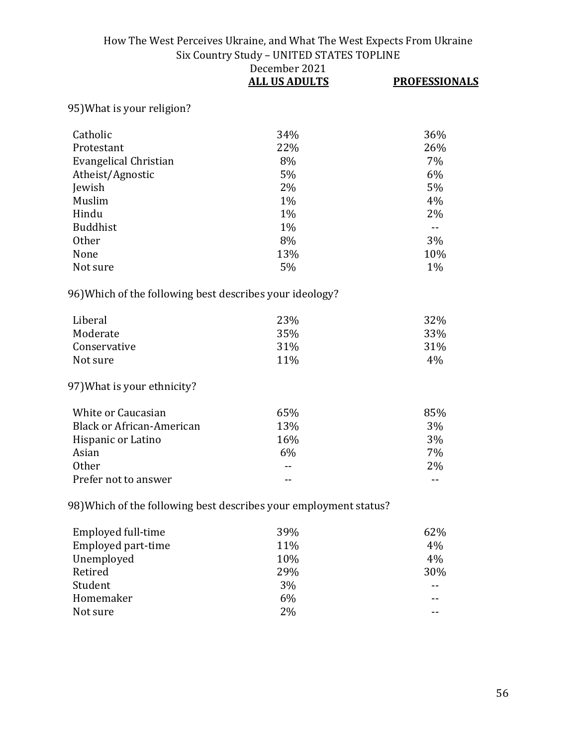|                                                                   | December 2021<br><b>ALL US ADULTS</b> | <b>PROFESSIONALS</b> |
|-------------------------------------------------------------------|---------------------------------------|----------------------|
| 95) What is your religion?                                        |                                       |                      |
| Catholic                                                          | 34%                                   | 36%                  |
| Protestant                                                        | 22%                                   | 26%                  |
| Evangelical Christian                                             | 8%                                    | 7%                   |
| Atheist/Agnostic                                                  | 5%                                    | 6%                   |
| Jewish                                                            | 2%                                    | 5%                   |
| Muslim                                                            | $1\%$                                 | 4%                   |
| Hindu                                                             | 1%                                    | 2%                   |
| <b>Buddhist</b>                                                   | 1%                                    | $ -$                 |
| <b>Other</b>                                                      | 8%                                    | 3%                   |
| None                                                              | 13%                                   | 10%                  |
| Not sure                                                          | 5%                                    | $1\%$                |
| 96) Which of the following best describes your ideology?          |                                       |                      |
| Liberal                                                           | 23%                                   | 32%                  |
| Moderate                                                          | 35%                                   | 33%                  |
| Conservative                                                      | 31%                                   | 31%                  |
| Not sure                                                          | 11%                                   | 4%                   |
| 97) What is your ethnicity?                                       |                                       |                      |
| White or Caucasian                                                | 65%                                   | 85%                  |
| <b>Black or African-American</b>                                  | 13%                                   | 3%                   |
| Hispanic or Latino                                                | 16%                                   | 3%                   |
| Asian                                                             | 6%                                    | 7%                   |
| <b>Other</b>                                                      |                                       | 2%                   |
| Prefer not to answer                                              | --                                    | $-$                  |
| 98) Which of the following best describes your employment status? |                                       |                      |
| Employed full-time                                                | 39%                                   | 62%                  |
| Employed part-time                                                | 11%                                   | 4%                   |
| Unemployed                                                        | 10%                                   | 4%                   |
| Retired                                                           | 29%                                   | 30%                  |
| Student                                                           | 3%                                    |                      |
| Homemaker                                                         | 6%                                    |                      |
| Not sure                                                          | 2%                                    | --                   |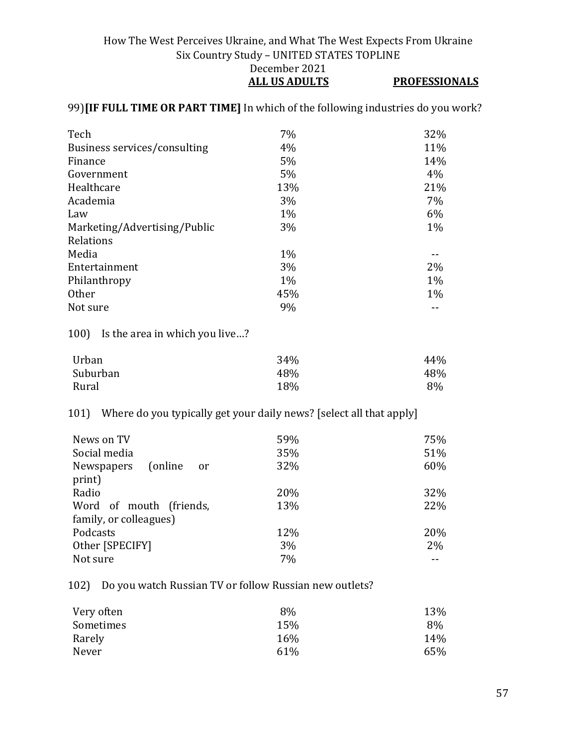#### How The West Perceives Ukraine, and What The West Expects From Ukraine Six Country Study – UNITED STATES TOPLINE December 2021 **ALL US ADULTS PROFESSIONALS**

### 99)**[IF FULL TIME OR PART TIME]** In which of the following industries do you work?

| Tech                         | 7%    | 32%   |
|------------------------------|-------|-------|
| Business services/consulting | 4%    | 11%   |
| Finance                      | 5%    | 14%   |
| Government                   | 5%    | 4%    |
| Healthcare                   | 13%   | 21%   |
| Academia                     | 3%    | 7%    |
| Law                          | $1\%$ | 6%    |
| Marketing/Advertising/Public | 3%    | $1\%$ |
| Relations                    |       |       |
| Media                        | $1\%$ |       |
| Entertainment                | 3%    | 2%    |
| Philanthropy                 | $1\%$ | $1\%$ |
| <b>Other</b>                 | 45%   | $1\%$ |
| Not sure                     | 9%    |       |
|                              |       |       |

100) Is the area in which you live…?

| Urban    | 34% | 44% |
|----------|-----|-----|
| Suburban | 48% | 48% |
| Rural    | 18% | 8%  |

## 101) Where do you typically get your daily news? [select all that apply]

| News on TV                   | 59% | 75%   |
|------------------------------|-----|-------|
| Social media                 | 35% | 51%   |
| (online)<br>Newspapers<br>or | 32% | 60%   |
| print)                       |     |       |
| Radio                        | 20% | 32%   |
| Word of mouth (friends,      | 13% | 22%   |
| family, or colleagues)       |     |       |
| Podcasts                     | 12% | 20%   |
| Other [SPECIFY]              | 3%  | $2\%$ |
| Not sure                     | 7%  |       |

102) Do you watch Russian TV or follow Russian new outlets?

| Very often | 8%  | 13% |
|------------|-----|-----|
| Sometimes  | 15% | 8%  |
| Rarely     | 16% | 14% |
| Never      | 61% | 65% |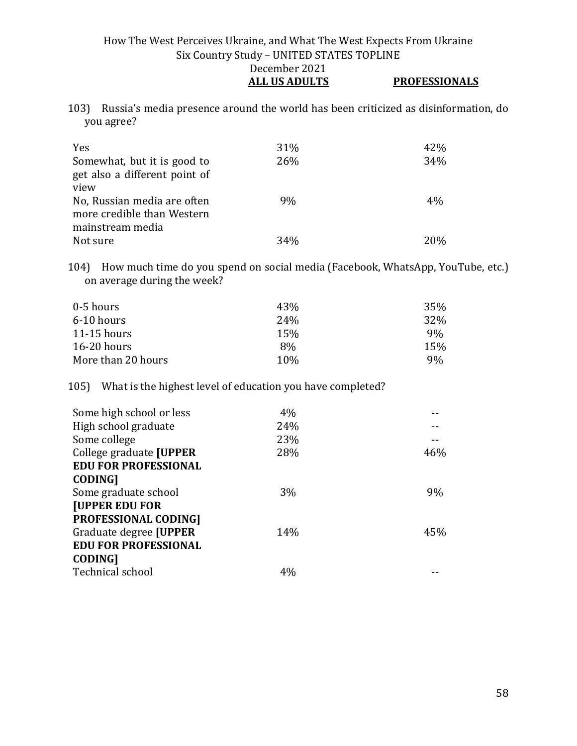#### How The West Perceives Ukraine, and What The West Expects From Ukraine Six Country Study – UNITED STATES TOPLINE December 2021 **ALL US ADULTS PROFESSIONALS**

103) Russia's media presence around the world has been criticized as disinformation, do you agree?

| Yes                                                          | 31% | 42%   |
|--------------------------------------------------------------|-----|-------|
| Somewhat, but it is good to<br>get also a different point of | 26% | 34%   |
| view                                                         |     |       |
| No, Russian media are often                                  | 9%  | $4\%$ |
| more credible than Western                                   |     |       |
| mainstream media                                             |     |       |
| Not sure                                                     | 34% | 20%   |

104) How much time do you spend on social media (Facebook, WhatsApp, YouTube, etc.) on average during the week?

| 0-5 hours          | 43%             | 35%   |
|--------------------|-----------------|-------|
| 6-10 hours         | 24 <sub>%</sub> | 32%   |
| $11-15$ hours      | 15%             | $9\%$ |
| $16-20$ hours      | 8%              | 15%   |
| More than 20 hours | 10 <sub>%</sub> | 9%    |

105) What is the highest level of education you have completed?

| 4%  |       |
|-----|-------|
| 24% |       |
| 23% |       |
| 28% | 46%   |
|     |       |
|     |       |
| 3%  | $9\%$ |
|     |       |
|     |       |
| 14% | 45%   |
|     |       |
|     |       |
| 4%  |       |
|     |       |